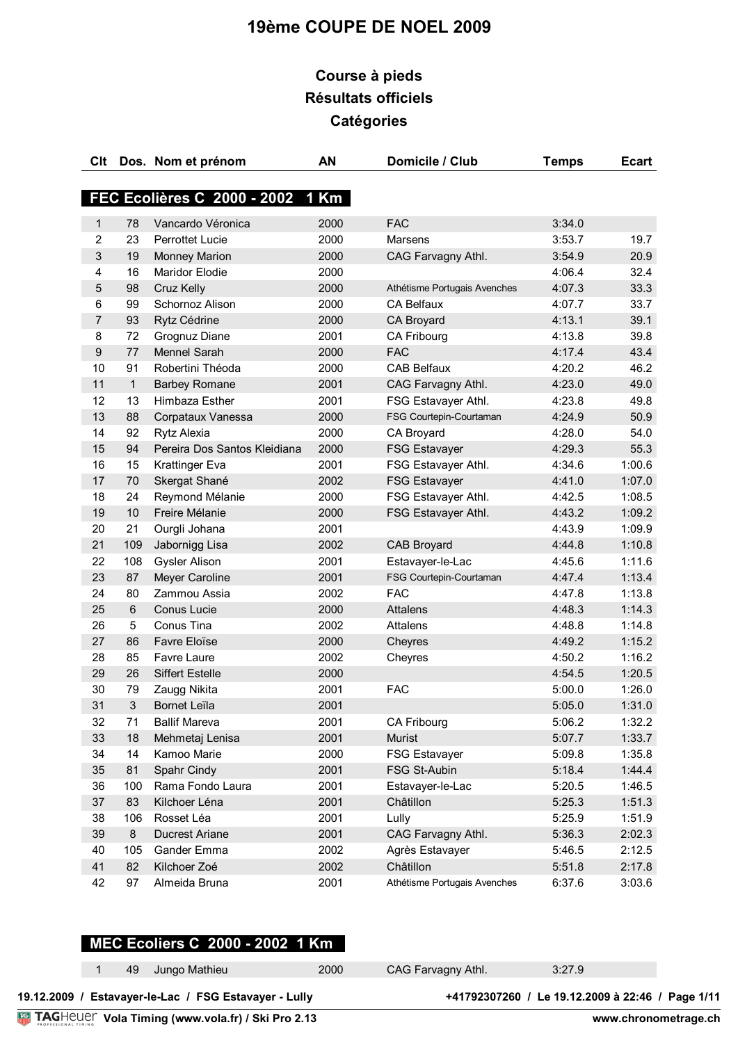# **Course à pieds Résultats officiels Catégories**

| Clt            |                | Dos. Nom et prénom               | AN   | Domicile / Club              | <b>Temps</b> | <b>Ecart</b> |
|----------------|----------------|----------------------------------|------|------------------------------|--------------|--------------|
|                |                |                                  |      |                              |              |              |
|                |                | FEC Ecolières C 2000 - 2002 1 Km |      |                              |              |              |
| 1              | 78             | Vancardo Véronica                | 2000 | <b>FAC</b>                   | 3:34.0       |              |
| $\overline{c}$ | 23             | <b>Perrottet Lucie</b>           | 2000 | Marsens                      | 3:53.7       | 19.7         |
| 3              | 19             | <b>Monney Marion</b>             | 2000 | CAG Farvagny Athl.           | 3:54.9       | 20.9         |
| 4              | 16             | Maridor Elodie                   | 2000 |                              | 4:06.4       | 32.4         |
| 5              | 98             | Cruz Kelly                       | 2000 | Athétisme Portugais Avenches | 4:07.3       | 33.3         |
| 6              | 99             | Schornoz Alison                  | 2000 | <b>CA Belfaux</b>            | 4:07.7       | 33.7         |
| $\overline{7}$ | 93             | Rytz Cédrine                     | 2000 | CA Broyard                   | 4:13.1       | 39.1         |
| 8              | 72             | Grognuz Diane                    | 2001 | CA Fribourg                  | 4:13.8       | 39.8         |
| 9              | 77             | Mennel Sarah                     | 2000 | <b>FAC</b>                   | 4:17.4       | 43.4         |
| 10             | 91             | Robertini Théoda                 | 2000 | <b>CAB Belfaux</b>           | 4:20.2       | 46.2         |
| 11             | $\mathbf{1}$   | <b>Barbey Romane</b>             | 2001 | CAG Farvagny Athl.           | 4:23.0       | 49.0         |
| 12             | 13             | Himbaza Esther                   | 2001 | FSG Estavayer Athl.          | 4:23.8       | 49.8         |
| 13             | 88             | Corpataux Vanessa                | 2000 | FSG Courtepin-Courtaman      | 4:24.9       | 50.9         |
| 14             | 92             | Rytz Alexia                      | 2000 | CA Broyard                   | 4:28.0       | 54.0         |
| 15             | 94             | Pereira Dos Santos Kleidiana     | 2000 | <b>FSG Estavayer</b>         | 4:29.3       | 55.3         |
| 16             | 15             | Krattinger Eva                   | 2001 | FSG Estavayer Athl.          | 4:34.6       | 1:00.6       |
| 17             | 70             | Skergat Shané                    | 2002 | <b>FSG Estavayer</b>         | 4:41.0       | 1:07.0       |
| 18             | 24             | Reymond Mélanie                  | 2000 | FSG Estavayer Athl.          | 4:42.5       | 1:08.5       |
| 19             | 10             | Freire Mélanie                   | 2000 | FSG Estavayer Athl.          | 4:43.2       | 1:09.2       |
| 20             | 21             | Ourgli Johana                    | 2001 |                              | 4:43.9       | 1:09.9       |
| 21             | 109            | Jabornigg Lisa                   | 2002 | CAB Broyard                  | 4:44.8       | 1:10.8       |
| 22             | 108            | <b>Gysler Alison</b>             | 2001 | Estavayer-le-Lac             | 4:45.6       | 1:11.6       |
| 23             | 87             | Meyer Caroline                   | 2001 | FSG Courtepin-Courtaman      | 4:47.4       | 1:13.4       |
| 24             | 80             | Zammou Assia                     | 2002 | <b>FAC</b>                   | 4:47.8       | 1:13.8       |
| 25             | $\,6$          | Conus Lucie                      | 2000 | <b>Attalens</b>              | 4:48.3       | 1:14.3       |
| 26             | 5              | Conus Tina                       | 2002 | Attalens                     | 4:48.8       | 1:14.8       |
| 27             | 86             | Favre Eloïse                     | 2000 | Cheyres                      | 4:49.2       | 1:15.2       |
| 28             | 85             | Favre Laure                      | 2002 | Cheyres                      | 4:50.2       | 1:16.2       |
| 29             | 26             | <b>Siffert Estelle</b>           | 2000 |                              | 4:54.5       | 1:20.5       |
| 30             | 79             | Zaugg Nikita                     | 2001 | <b>FAC</b>                   | 5:00.0       | 1:26.0       |
| 31             | $\mathfrak{S}$ | Bornet Leïla                     | 2001 |                              | 5:05.0       | 1:31.0       |
| 32             | 71             | <b>Ballif Mareva</b>             | 2001 | CA Fribourg                  | 5:06.2       | 1:32.2       |
| 33             | 18             | Mehmetaj Lenisa                  | 2001 | Murist                       | 5:07.7       | 1:33.7       |
| 34             | 14             | Kamoo Marie                      | 2000 | <b>FSG Estavayer</b>         | 5:09.8       | 1:35.8       |
| 35             | 81             | Spahr Cindy                      | 2001 | FSG St-Aubin                 | 5:18.4       | 1:44.4       |
| 36             | 100            | Rama Fondo Laura                 | 2001 | Estavayer-le-Lac             | 5:20.5       | 1:46.5       |
| 37             | 83             | Kilchoer Léna                    | 2001 | Châtillon                    | 5:25.3       | 1:51.3       |
| 38             | 106            | Rosset Léa                       | 2001 | Lully                        | 5:25.9       | 1:51.9       |
| 39             | $\bf 8$        | <b>Ducrest Ariane</b>            | 2001 | CAG Farvagny Athl.           | 5:36.3       | 2:02.3       |
| 40             | 105            | Gander Emma                      | 2002 | Agrès Estavayer              | 5:46.5       | 2:12.5       |
| 41             | 82             | Kilchoer Zoé                     | 2002 | Châtillon                    | 5:51.8       | 2:17.8       |
| 42             | 97             | Almeida Bruna                    | 2001 | Athétisme Portugais Avenches | 6:37.6       | 3:03.6       |

# **MEC Ecoliers C 2000 - 2002 1 Km**

49 Jungo Mathieu 2000 CAG Farvagny Athl. 3:27.9

**Vola Timing (www.vola.fr) / Ski Pro 2.13 19.12.2009 / Estavayer-le-Lac / FSG Estavayer - Lully +41792307260 / Le 19.12.2009 à 22:46 / Page 1/11**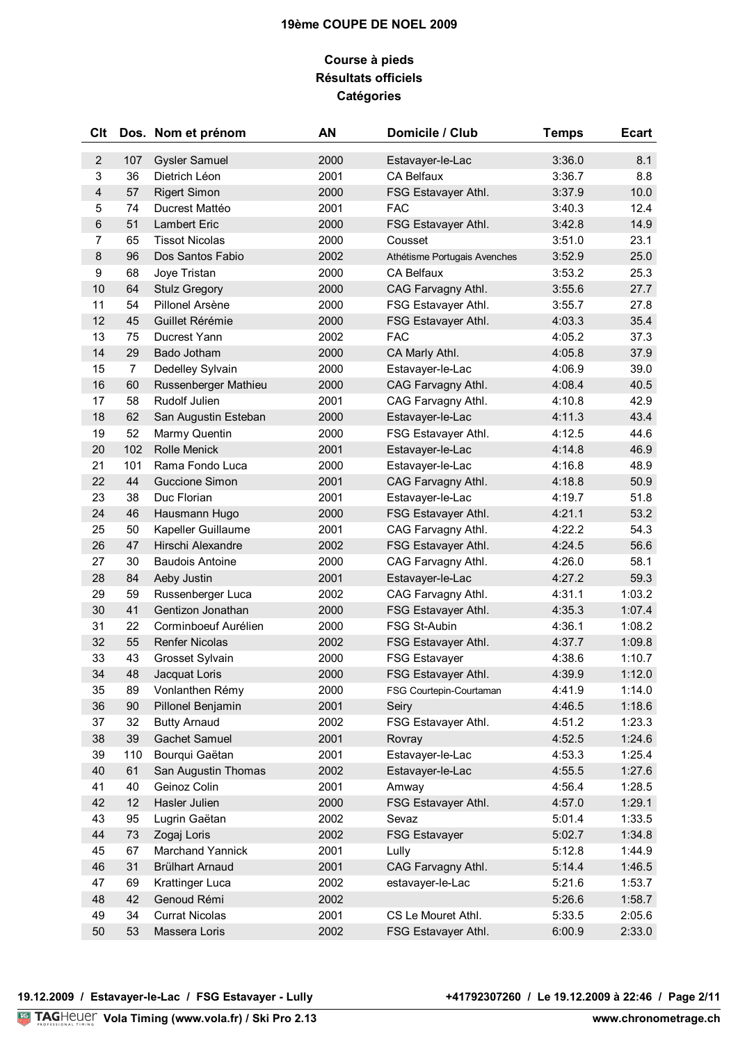## **Course à pieds Résultats officiels Catégories**

| Clt                     |                | Dos. Nom et prénom     | AN   | Domicile / Club              | <b>Temps</b> | <b>Ecart</b> |
|-------------------------|----------------|------------------------|------|------------------------------|--------------|--------------|
| $\sqrt{2}$              | 107            | <b>Gysler Samuel</b>   | 2000 | Estavayer-le-Lac             | 3:36.0       | 8.1          |
| $\mathsf 3$             | 36             | Dietrich Léon          | 2001 | CA Belfaux                   | 3:36.7       | 8.8          |
| $\overline{\mathbf{4}}$ | 57             | <b>Rigert Simon</b>    | 2000 | FSG Estavayer Athl.          | 3:37.9       | 10.0         |
| 5                       | 74             | Ducrest Mattéo         | 2001 | <b>FAC</b>                   | 3:40.3       | 12.4         |
| $\,6\,$                 | 51             | Lambert Eric           | 2000 | FSG Estavayer Athl.          | 3:42.8       | 14.9         |
| $\overline{7}$          | 65             | <b>Tissot Nicolas</b>  | 2000 | Cousset                      | 3:51.0       | 23.1         |
| $\,8\,$                 | 96             | Dos Santos Fabio       | 2002 | Athétisme Portugais Avenches | 3:52.9       | 25.0         |
| 9                       | 68             | Joye Tristan           | 2000 | CA Belfaux                   | 3:53.2       | 25.3         |
| 10                      | 64             | <b>Stulz Gregory</b>   | 2000 | CAG Farvagny Athl.           | 3:55.6       | 27.7         |
| 11                      | 54             | Pillonel Arsène        | 2000 | FSG Estavayer Athl.          | 3:55.7       | 27.8         |
| 12                      | 45             | Guillet Rérémie        | 2000 | FSG Estavayer Athl.          | 4:03.3       | 35.4         |
| 13                      | 75             | Ducrest Yann           | 2002 | <b>FAC</b>                   | 4:05.2       | 37.3         |
| 14                      | 29             | Bado Jotham            | 2000 | CA Marly Athl.               | 4:05.8       | 37.9         |
| 15                      | $\overline{7}$ | Dedelley Sylvain       | 2000 | Estavayer-le-Lac             | 4:06.9       | 39.0         |
| 16                      | 60             | Russenberger Mathieu   | 2000 | CAG Farvagny Athl.           | 4:08.4       | 40.5         |
| 17                      | 58             | Rudolf Julien          | 2001 | CAG Farvagny Athl.           | 4:10.8       | 42.9         |
| 18                      | 62             | San Augustin Esteban   | 2000 | Estavayer-le-Lac             | 4:11.3       | 43.4         |
| 19                      | 52             | Marmy Quentin          | 2000 | FSG Estavayer Athl.          | 4:12.5       | 44.6         |
| 20                      | 102            | <b>Rolle Menick</b>    | 2001 | Estavayer-le-Lac             | 4:14.8       | 46.9         |
| 21                      | 101            | Rama Fondo Luca        | 2000 | Estavayer-le-Lac             | 4:16.8       | 48.9         |
| 22                      | 44             | Guccione Simon         | 2001 | CAG Farvagny Athl.           | 4:18.8       | 50.9         |
| 23                      | 38             | Duc Florian            | 2001 | Estavayer-le-Lac             | 4:19.7       | 51.8         |
| 24                      | 46             | Hausmann Hugo          | 2000 | FSG Estavayer Athl.          | 4:21.1       | 53.2         |
| 25                      | 50             | Kapeller Guillaume     | 2001 | CAG Farvagny Athl.           | 4:22.2       | 54.3         |
| 26                      | 47             | Hirschi Alexandre      | 2002 | FSG Estavayer Athl.          | 4:24.5       | 56.6         |
| 27                      | 30             | <b>Baudois Antoine</b> | 2000 | CAG Farvagny Athl.           | 4:26.0       | 58.1         |
| 28                      | 84             | Aeby Justin            | 2001 | Estavayer-le-Lac             | 4:27.2       | 59.3         |
| 29                      | 59             | Russenberger Luca      | 2002 | CAG Farvagny Athl.           | 4:31.1       | 1:03.2       |
| 30                      | 41             | Gentizon Jonathan      | 2000 | FSG Estavayer Athl.          | 4:35.3       | 1:07.4       |
| 31                      | 22             | Corminboeuf Aurélien   | 2000 | FSG St-Aubin                 | 4:36.1       | 1:08.2       |
| 32                      | 55             | <b>Renfer Nicolas</b>  | 2002 | FSG Estavayer Athl.          | 4:37.7       | 1:09.8       |
| 33                      | 43             | Grosset Sylvain        | 2000 | <b>FSG Estavayer</b>         | 4:38.6       | 1:10.7       |
| 34                      | 48             | Jacquat Loris          | 2000 | FSG Estavayer Athl.          | 4:39.9       | 1:12.0       |
| 35                      | 89             | Vonlanthen Rémy        | 2000 | FSG Courtepin-Courtaman      | 4:41.9       | 1:14.0       |
| 36                      | 90             | Pillonel Benjamin      | 2001 | Seiry                        | 4:46.5       | 1:18.6       |
| 37                      | 32             | <b>Butty Arnaud</b>    | 2002 | FSG Estavayer Athl.          | 4:51.2       | 1:23.3       |
| 38                      | 39             | Gachet Samuel          | 2001 | Rovray                       | 4:52.5       | 1:24.6       |
| 39                      | 110            | Bourqui Gaëtan         | 2001 | Estavayer-le-Lac             | 4:53.3       | 1:25.4       |
| 40                      | 61             | San Augustin Thomas    | 2002 | Estavayer-le-Lac             | 4:55.5       | 1:27.6       |
| 41                      | 40             | Geinoz Colin           | 2001 | Amway                        | 4:56.4       | 1:28.5       |
| 42                      | 12             | Hasler Julien          | 2000 | FSG Estavayer Athl.          | 4:57.0       | 1:29.1       |
| 43                      | 95             | Lugrin Gaëtan          | 2002 | Sevaz                        | 5:01.4       | 1:33.5       |
| 44                      | 73             | Zogaj Loris            | 2002 | <b>FSG Estavayer</b>         | 5:02.7       | 1:34.8       |
| 45                      | 67             | Marchand Yannick       | 2001 | Lully                        | 5:12.8       | 1:44.9       |
| 46                      | 31             | <b>Brülhart Arnaud</b> | 2001 | CAG Farvagny Athl.           | 5:14.4       | 1:46.5       |
| 47                      | 69             | Krattinger Luca        | 2002 | estavayer-le-Lac             | 5:21.6       | 1:53.7       |
| 48                      | 42             | Genoud Rémi            | 2002 |                              | 5:26.6       | 1:58.7       |
| 49                      | 34             | <b>Currat Nicolas</b>  | 2001 | CS Le Mouret Athl.           | 5:33.5       | 2:05.6       |
| 50                      | 53             | Massera Loris          | 2002 | FSG Estavayer Athl.          | 6:00.9       | 2:33.0       |
|                         |                |                        |      |                              |              |              |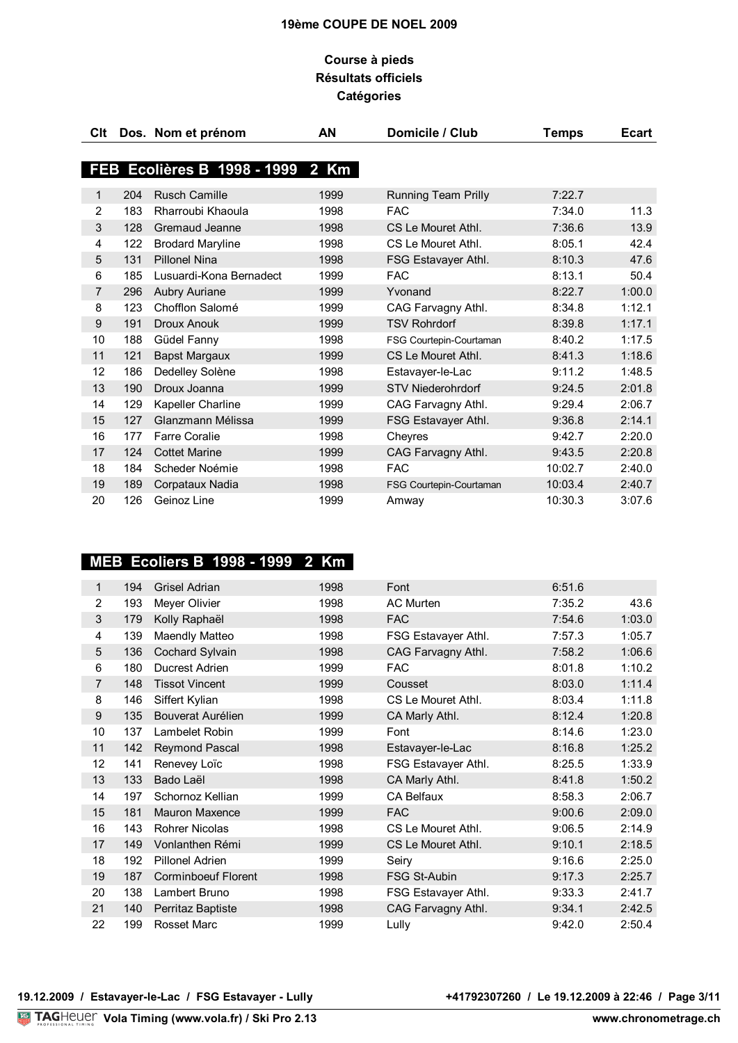## **Course à pieds Résultats officiels Catégories**

| Clt          |     | Dos. Nom et prénom               | ΑN   | Domicile / Club            | <b>Temps</b> | <b>Ecart</b> |
|--------------|-----|----------------------------------|------|----------------------------|--------------|--------------|
|              |     | FEB Ecolières B 1998 - 1999 2 Km |      |                            |              |              |
|              |     |                                  |      |                            |              |              |
| $\mathbf{1}$ | 204 | <b>Rusch Camille</b>             | 1999 | <b>Running Team Prilly</b> | 7:22.7       |              |
| 2            | 183 | Rharroubi Khaoula                | 1998 | <b>FAC</b>                 | 7:34.0       | 11.3         |
| 3            | 128 | Gremaud Jeanne                   | 1998 | CS Le Mouret Athl.         | 7:36.6       | 13.9         |
| 4            | 122 | <b>Brodard Maryline</b>          | 1998 | CS Le Mouret Athl.         | 8:05.1       | 42.4         |
| 5            | 131 | <b>Pillonel Nina</b>             | 1998 | FSG Estavayer Athl.        | 8:10.3       | 47.6         |
| 6            | 185 | Lusuardi-Kona Bernadect          | 1999 | <b>FAC</b>                 | 8:13.1       | 50.4         |
| 7            | 296 | <b>Aubry Auriane</b>             | 1999 | Yvonand                    | 8:22.7       | 1:00.0       |
| 8            | 123 | Chofflon Salomé                  | 1999 | CAG Farvagny Athl.         | 8:34.8       | 1:12.1       |
| 9            | 191 | Droux Anouk                      | 1999 | <b>TSV Rohrdorf</b>        | 8:39.8       | 1:17.1       |
| 10           | 188 | Güdel Fanny                      | 1998 | FSG Courtepin-Courtaman    | 8:40.2       | 1:17.5       |
| 11           | 121 | Bapst Margaux                    | 1999 | CS Le Mouret Athl.         | 8:41.3       | 1:18.6       |
| 12           | 186 | Dedelley Solène                  | 1998 | Estavayer-le-Lac           | 9:11.2       | 1:48.5       |
| 13           | 190 | Droux Joanna                     | 1999 | <b>STV Niederohrdorf</b>   | 9:24.5       | 2:01.8       |
| 14           | 129 | Kapeller Charline                | 1999 | CAG Farvagny Athl.         | 9:29.4       | 2:06.7       |
| 15           | 127 | Glanzmann Mélissa                | 1999 | FSG Estavayer Athl.        | 9:36.8       | 2:14.1       |
| 16           | 177 | <b>Farre Coralie</b>             | 1998 | Cheyres                    | 9:42.7       | 2:20.0       |
| 17           | 124 | <b>Cottet Marine</b>             | 1999 | CAG Farvagny Athl.         | 9:43.5       | 2:20.8       |
| 18           | 184 | Scheder Noémie                   | 1998 | <b>FAC</b>                 | 10:02.7      | 2:40.0       |
| 19           | 189 | Corpataux Nadia                  | 1998 | FSG Courtepin-Courtaman    | 10:03.4      | 2:40.7       |
| 20           | 126 | Geinoz Line                      | 1999 | Amway                      | 10:30.3      | 3:07.6       |

# **MEB Ecoliers B 1998 - 1999 2 Km**

| 1              | 194 | Grisel Adrian              | 1998 | Font                | 6:51.6 |        |
|----------------|-----|----------------------------|------|---------------------|--------|--------|
| 2              | 193 | Meyer Olivier              | 1998 | AC Murten           | 7:35.2 | 43.6   |
| 3              | 179 | Kolly Raphaël              | 1998 | <b>FAC</b>          | 7:54.6 | 1:03.0 |
| 4              | 139 | Maendly Matteo             | 1998 | FSG Estavayer Athl. | 7:57.3 | 1:05.7 |
| 5              | 136 | Cochard Sylvain            | 1998 | CAG Farvagny Athl.  | 7:58.2 | 1:06.6 |
| 6              | 180 | Ducrest Adrien             | 1999 | <b>FAC</b>          | 8:01.8 | 1:10.2 |
| $\overline{7}$ | 148 | <b>Tissot Vincent</b>      | 1999 | Cousset             | 8:03.0 | 1:11.4 |
| 8              | 146 | Siffert Kylian             | 1998 | CS Le Mouret Athl.  | 8:03.4 | 1:11.8 |
| 9              | 135 | Bouverat Aurélien          | 1999 | CA Marly Athl.      | 8:12.4 | 1:20.8 |
| 10             | 137 | Lambelet Robin             | 1999 | Font                | 8:14.6 | 1:23.0 |
| 11             | 142 | <b>Reymond Pascal</b>      | 1998 | Estavayer-le-Lac    | 8:16.8 | 1:25.2 |
| 12             | 141 | Renevey Loïc               | 1998 | FSG Estavayer Athl. | 8:25.5 | 1:33.9 |
| 13             | 133 | Bado Laël                  | 1998 | CA Marly Athl.      | 8:41.8 | 1:50.2 |
| 14             | 197 | Schornoz Kellian           | 1999 | <b>CA Belfaux</b>   | 8:58.3 | 2:06.7 |
| 15             | 181 | Mauron Maxence             | 1999 | <b>FAC</b>          | 9:00.6 | 2:09.0 |
| 16             | 143 | <b>Rohrer Nicolas</b>      | 1998 | CS Le Mouret Athl.  | 9:06.5 | 2:14.9 |
| 17             | 149 | Vonlanthen Rémi            | 1999 | CS Le Mouret Athl.  | 9:10.1 | 2:18.5 |
| 18             | 192 | Pillonel Adrien            | 1999 | Seiry               | 9:16.6 | 2:25.0 |
| 19             | 187 | <b>Corminboeuf Florent</b> | 1998 | <b>FSG St-Aubin</b> | 9:17.3 | 2:25.7 |
| 20             | 138 | Lambert Bruno              | 1998 | FSG Estavayer Athl. | 9:33.3 | 2:41.7 |
| 21             | 140 | Perritaz Baptiste          | 1998 | CAG Farvagny Athl.  | 9:34.1 | 2:42.5 |
| 22             | 199 | <b>Rosset Marc</b>         | 1999 | Lully               | 9:42.0 | 2:50.4 |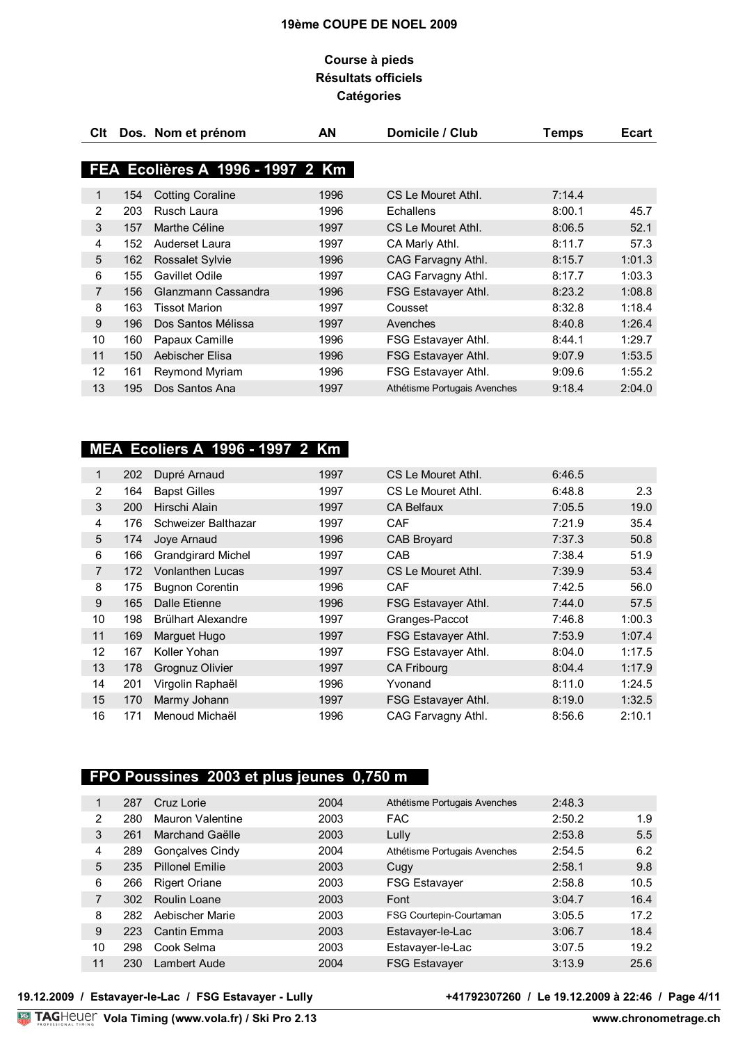## **Course à pieds Résultats officiels Catégories**

| CIt. |     | Dos. Nom et prénom               | ΑN   | Domicile / Club              | <b>Temps</b> | Ecart  |
|------|-----|----------------------------------|------|------------------------------|--------------|--------|
|      |     |                                  |      |                              |              |        |
|      |     | FEA Ecolières A 1996 - 1997 2 Km |      |                              |              |        |
| 1    | 154 | <b>Cotting Coraline</b>          | 1996 | CS Le Mouret Athl.           | 7:14.4       |        |
| 2    | 203 | Rusch Laura                      | 1996 | Echallens                    | 8:00.1       | 45.7   |
| 3    | 157 | Marthe Céline                    | 1997 | CS Le Mouret Athl.           | 8:06.5       | 52.1   |
| 4    | 152 | Auderset Laura                   | 1997 | CA Marly Athl.               | 8:11.7       | 57.3   |
| 5    | 162 | <b>Rossalet Sylvie</b>           | 1996 | CAG Farvagny Athl.           | 8:15.7       | 1:01.3 |
| 6    | 155 | Gavillet Odile                   | 1997 | CAG Farvagny Athl.           | 8:17.7       | 1:03.3 |
| 7    | 156 | Glanzmann Cassandra              | 1996 | FSG Estavayer Athl.          | 8:23.2       | 1:08.8 |
| 8    | 163 | <b>Tissot Marion</b>             | 1997 | Cousset                      | 8:32.8       | 1:18.4 |
| 9    | 196 | Dos Santos Mélissa               | 1997 | Avenches                     | 8:40.8       | 1:26.4 |
| 10   | 160 | Papaux Camille                   | 1996 | FSG Estavayer Athl.          | 8:44.1       | 1:29.7 |
| 11   | 150 | Aebischer Elisa                  | 1996 | FSG Estavayer Athl.          | 9:07.9       | 1:53.5 |
| 12   | 161 | Reymond Myriam                   | 1996 | FSG Estavayer Athl.          | 9:09.6       | 1:55.2 |
| 13   | 195 | Dos Santos Ana                   | 1997 | Athétisme Portugais Avenches | 9:18.4       | 2:04.0 |

# **MEA Ecoliers A 1996 - 1997 2 Km**

| 1  | 202 | Dupré Arnaud              | 1997 | CS Le Mouret Athl.         | 6:46.5 |        |
|----|-----|---------------------------|------|----------------------------|--------|--------|
| 2  | 164 | <b>Bapst Gilles</b>       | 1997 | CS Le Mouret Athl.         | 6:48.8 | 2.3    |
| 3  | 200 | Hirschi Alain             | 1997 | <b>CA Belfaux</b>          | 7:05.5 | 19.0   |
| 4  | 176 | Schweizer Balthazar       | 1997 | <b>CAF</b>                 | 7:21.9 | 35.4   |
| 5  | 174 | Joye Arnaud               | 1996 | <b>CAB Broyard</b>         | 7:37.3 | 50.8   |
| 6  | 166 | <b>Grandgirard Michel</b> | 1997 | <b>CAB</b>                 | 7:38.4 | 51.9   |
| 7  | 172 | <b>Vonlanthen Lucas</b>   | 1997 | CS Le Mouret Athl.         | 7:39.9 | 53.4   |
| 8  | 175 | <b>Bugnon Corentin</b>    | 1996 | CAF                        | 7:42.5 | 56.0   |
| 9  | 165 | Dalle Etienne             | 1996 | FSG Estavayer Athl.        | 7:44.0 | 57.5   |
| 10 | 198 | Brülhart Alexandre        | 1997 | Granges-Paccot             | 7:46.8 | 1:00.3 |
| 11 | 169 | Marguet Hugo              | 1997 | FSG Estavayer Athl.        | 7:53.9 | 1:07.4 |
| 12 | 167 | Koller Yohan              | 1997 | FSG Estavayer Athl.        | 8:04.0 | 1:17.5 |
| 13 | 178 | Grognuz Olivier           | 1997 | <b>CA Fribourg</b>         | 8:04.4 | 1:17.9 |
| 14 | 201 | Virgolin Raphaël          | 1996 | Yvonand                    | 8:11.0 | 1:24.5 |
| 15 | 170 | Marmy Johann              | 1997 | <b>FSG Estavayer Athl.</b> | 8:19.0 | 1:32.5 |
| 16 | 171 | Menoud Michaël            | 1996 | CAG Farvagny Athl.         | 8:56.6 | 2:10.1 |

# **FPO Poussines 2003 et plus jeunes 0,750 m**

| 1  | 287 | Cruz Lorie              | 2004 | Athétisme Portugais Avenches | 2:48.3 |      |
|----|-----|-------------------------|------|------------------------------|--------|------|
| 2  | 280 | <b>Mauron Valentine</b> | 2003 | <b>FAC</b>                   | 2:50.2 | 1.9  |
| 3  | 261 | Marchand Gaëlle         | 2003 | Lully                        | 2:53.8 | 5.5  |
| 4  | 289 | Gonçalves Cindy         | 2004 | Athétisme Portugais Avenches | 2:54.5 | 6.2  |
| 5  | 235 | <b>Pillonel Fmilie</b>  | 2003 | Cugy                         | 2:58.1 | 9.8  |
| 6  | 266 | <b>Rigert Oriane</b>    | 2003 | <b>FSG Estavayer</b>         | 2:58.8 | 10.5 |
| 7  | 302 | Roulin Loane            | 2003 | Font                         | 3:04.7 | 16.4 |
| 8  | 282 | Aebischer Marie         | 2003 | FSG Courtepin-Courtaman      | 3:05.5 | 17.2 |
| 9  | 223 | Cantin Emma             | 2003 | Estavayer-le-Lac             | 3:06.7 | 18.4 |
| 10 | 298 | Cook Selma              | 2003 | Estavayer-le-Lac             | 3:07.5 | 19.2 |
| 11 | 230 | Lambert Aude            | 2004 | <b>FSG Estavayer</b>         | 3:13.9 | 25.6 |
|    |     |                         |      |                              |        |      |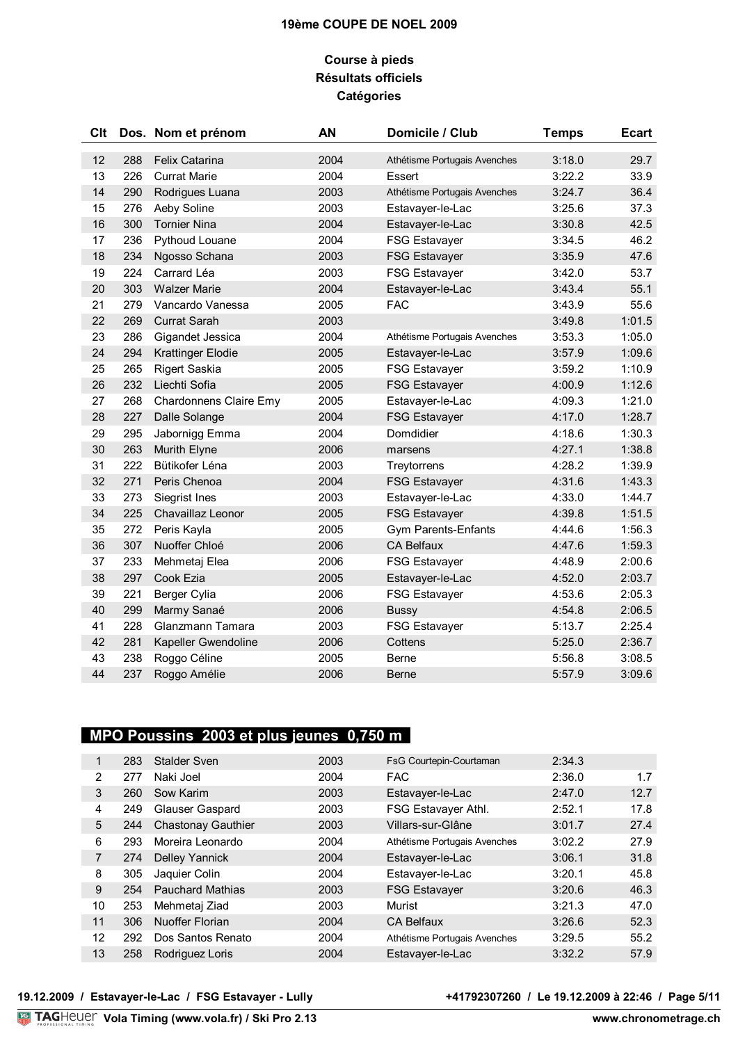## **Course à pieds Résultats officiels Catégories**

| Clt |     | Dos. Nom et prénom       | AN   | Domicile / Club              | <b>Temps</b> | <b>Ecart</b> |
|-----|-----|--------------------------|------|------------------------------|--------------|--------------|
| 12  | 288 | <b>Felix Catarina</b>    | 2004 | Athétisme Portugais Avenches | 3:18.0       | 29.7         |
| 13  | 226 | <b>Currat Marie</b>      | 2004 | Essert                       | 3:22.2       | 33.9         |
| 14  | 290 | Rodrigues Luana          | 2003 | Athétisme Portugais Avenches | 3:24.7       | 36.4         |
| 15  | 276 | Aeby Soline              | 2003 | Estavayer-le-Lac             | 3:25.6       | 37.3         |
| 16  | 300 | <b>Tornier Nina</b>      | 2004 | Estavayer-le-Lac             | 3:30.8       | 42.5         |
| 17  | 236 | Pythoud Louane           | 2004 | <b>FSG Estavayer</b>         | 3:34.5       | 46.2         |
| 18  | 234 | Ngosso Schana            | 2003 | <b>FSG Estavayer</b>         | 3:35.9       | 47.6         |
| 19  | 224 | Carrard Léa              | 2003 | <b>FSG Estavayer</b>         | 3:42.0       | 53.7         |
| 20  | 303 | <b>Walzer Marie</b>      | 2004 | Estavayer-le-Lac             | 3:43.4       | 55.1         |
| 21  | 279 | Vancardo Vanessa         | 2005 | <b>FAC</b>                   | 3:43.9       | 55.6         |
| 22  | 269 | <b>Currat Sarah</b>      | 2003 |                              | 3:49.8       | 1:01.5       |
| 23  | 286 | Gigandet Jessica         | 2004 | Athétisme Portugais Avenches | 3:53.3       | 1:05.0       |
| 24  | 294 | <b>Krattinger Elodie</b> | 2005 | Estavayer-le-Lac             | 3:57.9       | 1:09.6       |
| 25  | 265 | <b>Rigert Saskia</b>     | 2005 | <b>FSG Estavayer</b>         | 3:59.2       | 1:10.9       |
| 26  | 232 | Liechti Sofia            | 2005 | <b>FSG Estavayer</b>         | 4:00.9       | 1:12.6       |
| 27  | 268 | Chardonnens Claire Emy   | 2005 | Estavayer-le-Lac             | 4:09.3       | 1:21.0       |
| 28  | 227 | Dalle Solange            | 2004 | <b>FSG Estavayer</b>         | 4:17.0       | 1:28.7       |
| 29  | 295 | Jabornigg Emma           | 2004 | Domdidier                    | 4:18.6       | 1:30.3       |
| 30  | 263 | Murith Elyne             | 2006 | marsens                      | 4:27.1       | 1:38.8       |
| 31  | 222 | Bütikofer Léna           | 2003 | Treytorrens                  | 4:28.2       | 1:39.9       |
| 32  | 271 | Peris Chenoa             | 2004 | <b>FSG Estavayer</b>         | 4:31.6       | 1:43.3       |
| 33  | 273 | Siegrist Ines            | 2003 | Estavayer-le-Lac             | 4:33.0       | 1:44.7       |
| 34  | 225 | Chavaillaz Leonor        | 2005 | <b>FSG Estavayer</b>         | 4:39.8       | 1:51.5       |
| 35  | 272 | Peris Kayla              | 2005 | <b>Gym Parents-Enfants</b>   | 4:44.6       | 1:56.3       |
| 36  | 307 | Nuoffer Chloé            | 2006 | <b>CA Belfaux</b>            | 4:47.6       | 1:59.3       |
| 37  | 233 | Mehmetaj Elea            | 2006 | <b>FSG Estavayer</b>         | 4:48.9       | 2:00.6       |
| 38  | 297 | Cook Ezia                | 2005 | Estavayer-le-Lac             | 4:52.0       | 2:03.7       |
| 39  | 221 | Berger Cylia             | 2006 | <b>FSG Estavayer</b>         | 4:53.6       | 2:05.3       |
| 40  | 299 | Marmy Sanaé              | 2006 | <b>Bussy</b>                 | 4:54.8       | 2:06.5       |
| 41  | 228 | Glanzmann Tamara         | 2003 | <b>FSG Estavayer</b>         | 5:13.7       | 2:25.4       |
| 42  | 281 | Kapeller Gwendoline      | 2006 | Cottens                      | 5:25.0       | 2:36.7       |
| 43  | 238 | Roggo Céline             | 2005 | <b>Berne</b>                 | 5:56.8       | 3:08.5       |
| 44  | 237 | Roggo Amélie             | 2006 | <b>Berne</b>                 | 5:57.9       | 3:09.6       |
|     |     |                          |      |                              |              |              |

# **MPO Poussins 2003 et plus jeunes 0,750 m**

| 1  | 283 | Stalder Sven              | 2003 | FsG Courtepin-Courtaman      | 2:34.3 |      |
|----|-----|---------------------------|------|------------------------------|--------|------|
| 2  | 277 | Naki Joel                 | 2004 | <b>FAC</b>                   | 2:36.0 | 1.7  |
| 3  | 260 | Sow Karim                 | 2003 | Estavayer-le-Lac             | 2:47.0 | 12.7 |
| 4  | 249 | Glauser Gaspard           | 2003 | FSG Estavayer Athl.          | 2:52.1 | 17.8 |
| 5  | 244 | <b>Chastonay Gauthier</b> | 2003 | Villars-sur-Glâne            | 3:01.7 | 27.4 |
| 6  | 293 | Moreira Leonardo          | 2004 | Athétisme Portugais Avenches | 3:02.2 | 27.9 |
| 7  | 274 | <b>Delley Yannick</b>     | 2004 | Estavayer-le-Lac             | 3:06.1 | 31.8 |
| 8  | 305 | Jaquier Colin             | 2004 | Estavayer-le-Lac             | 3:20.1 | 45.8 |
| 9  | 254 | <b>Pauchard Mathias</b>   | 2003 | <b>FSG Estavayer</b>         | 3:20.6 | 46.3 |
| 10 | 253 | Mehmetaj Ziad             | 2003 | Murist                       | 3:21.3 | 47.0 |
| 11 | 306 | Nuoffer Florian           | 2004 | <b>CA Belfaux</b>            | 3:26.6 | 52.3 |
| 12 | 292 | Dos Santos Renato         | 2004 | Athétisme Portugais Avenches | 3:29.5 | 55.2 |
| 13 | 258 | Rodriguez Loris           | 2004 | Estavayer-le-Lac             | 3:32.2 | 57.9 |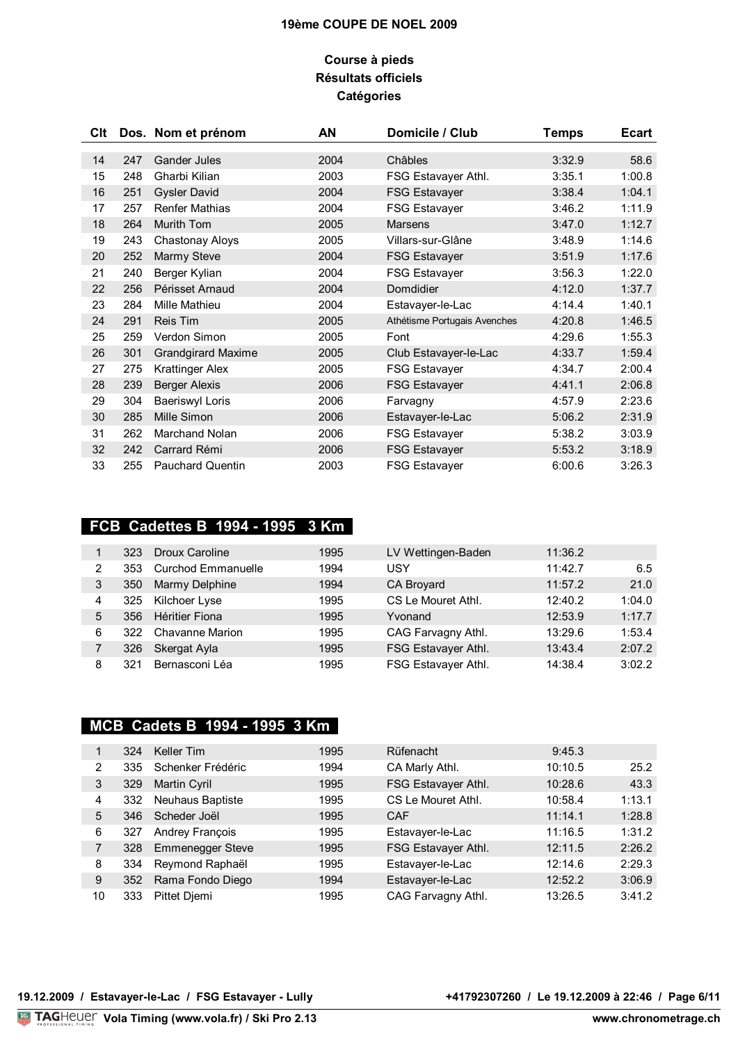## **Course à pieds Résultats officiels Catégories**

| Clt |     | Dos. Nom et prénom        | AN   | Domicile / Club              | <b>Temps</b> | <b>Ecart</b> |
|-----|-----|---------------------------|------|------------------------------|--------------|--------------|
| 14  | 247 | Gander Jules              | 2004 | Châbles                      | 3:32.9       | 58.6         |
| 15  | 248 | Gharbi Kilian             | 2003 | FSG Estavayer Athl.          | 3:35.1       | 1:00.8       |
| 16  | 251 | <b>Gysler David</b>       | 2004 | <b>FSG Estavayer</b>         | 3:38.4       | 1:04.1       |
| 17  | 257 | <b>Renfer Mathias</b>     | 2004 | <b>FSG Estavayer</b>         | 3:46.2       | 1:11.9       |
| 18  | 264 | <b>Murith Tom</b>         | 2005 | <b>Marsens</b>               | 3:47.0       | 1:12.7       |
| 19  | 243 | Chastonay Aloys           | 2005 | Villars-sur-Glâne            | 3:48.9       | 1:14.6       |
| 20  | 252 | Marmy Steve               | 2004 | <b>FSG Estavayer</b>         | 3:51.9       | 1:17.6       |
| 21  | 240 | Berger Kylian             | 2004 | <b>FSG Estavayer</b>         | 3:56.3       | 1:22.0       |
| 22  | 256 | Périsset Arnaud           | 2004 | Domdidier                    | 4:12.0       | 1:37.7       |
| 23  | 284 | Mille Mathieu             | 2004 | Estavayer-le-Lac             | 4:14.4       | 1:40.1       |
| 24  | 291 | Reis Tim                  | 2005 | Athétisme Portugais Avenches | 4:20.8       | 1:46.5       |
| 25  | 259 | Verdon Simon              | 2005 | Font                         | 4:29.6       | 1:55.3       |
| 26  | 301 | <b>Grandgirard Maxime</b> | 2005 | Club Estavayer-le-Lac        | 4:33.7       | 1:59.4       |
| 27  | 275 | <b>Krattinger Alex</b>    | 2005 | <b>FSG Estavayer</b>         | 4:34.7       | 2:00.4       |
| 28  | 239 | <b>Berger Alexis</b>      | 2006 | <b>FSG Estavayer</b>         | 4:41.1       | 2:06.8       |
| 29  | 304 | <b>Baeriswyl Loris</b>    | 2006 | Farvagny                     | 4:57.9       | 2:23.6       |
| 30  | 285 | Mille Simon               | 2006 | Estavayer-le-Lac             | 5:06.2       | 2:31.9       |
| 31  | 262 | <b>Marchand Nolan</b>     | 2006 | <b>FSG Estavayer</b>         | 5:38.2       | 3:03.9       |
| 32  | 242 | Carrard Rémi              | 2006 | <b>FSG Estavayer</b>         | 5:53.2       | 3:18.9       |
| 33  | 255 | <b>Pauchard Quentin</b>   | 2003 | <b>FSG Estavayer</b>         | 6:00.6       | 3:26.3       |

# **FCB Cadettes B 1994 - 1995 3 Km**

|   | 323 | Droux Caroline            | 1995 | LV Wettingen-Baden  | 11:36.2 |        |
|---|-----|---------------------------|------|---------------------|---------|--------|
| 2 | 353 | <b>Curchod Emmanuelle</b> | 1994 | USY                 | 11:42.7 | 6.5    |
| 3 | 350 | Marmy Delphine            | 1994 | CA Broyard          | 11:57.2 | 21.0   |
| 4 | 325 | Kilchoer Lyse             | 1995 | CS Le Mouret Athl.  | 12:40.2 | 1:04.0 |
| 5 | 356 | <b>Héritier Fiona</b>     | 1995 | Yvonand             | 12:53.9 | 1:17.7 |
| 6 | 322 | <b>Chavanne Marion</b>    | 1995 | CAG Farvagny Athl.  | 13:29.6 | 1:53.4 |
|   | 326 | Skergat Ayla              | 1995 | FSG Estavayer Athl. | 13:43.4 | 2:07.2 |
| 8 | 321 | Bernasconi Léa            | 1995 | FSG Estavayer Athl. | 14:38.4 | 3:02.2 |

# **MCB Cadets B 1994 - 1995 3 Km**

|    | 324 | Keller Tim              | 1995 | Rüfenacht           | 9:45.3  |        |
|----|-----|-------------------------|------|---------------------|---------|--------|
| 2  | 335 | Schenker Frédéric       | 1994 | CA Marly Athl.      | 10:10.5 | 25.2   |
| 3  | 329 | Martin Cyril            | 1995 | FSG Estavayer Athl. | 10:28.6 | 43.3   |
| 4  | 332 | <b>Neuhaus Baptiste</b> | 1995 | CS Le Mouret Athl.  | 10:58.4 | 1:13.1 |
| 5  | 346 | Scheder Joël            | 1995 | CAF                 | 11:14.1 | 1:28.8 |
| 6  | 327 | Andrey François         | 1995 | Estavayer-le-Lac    | 11:16.5 | 1:31.2 |
|    | 328 | <b>Emmenegger Steve</b> | 1995 | FSG Estavayer Athl. | 12:11.5 | 2:26.2 |
| 8  | 334 | Reymond Raphaël         | 1995 | Estavayer-le-Lac    | 12:14.6 | 2:29.3 |
| 9  | 352 | Rama Fondo Diego        | 1994 | Estavayer-le-Lac    | 12:52.2 | 3:06.9 |
| 10 | 333 | Pittet Diemi            | 1995 | CAG Farvagny Athl.  | 13:26.5 | 3:41.2 |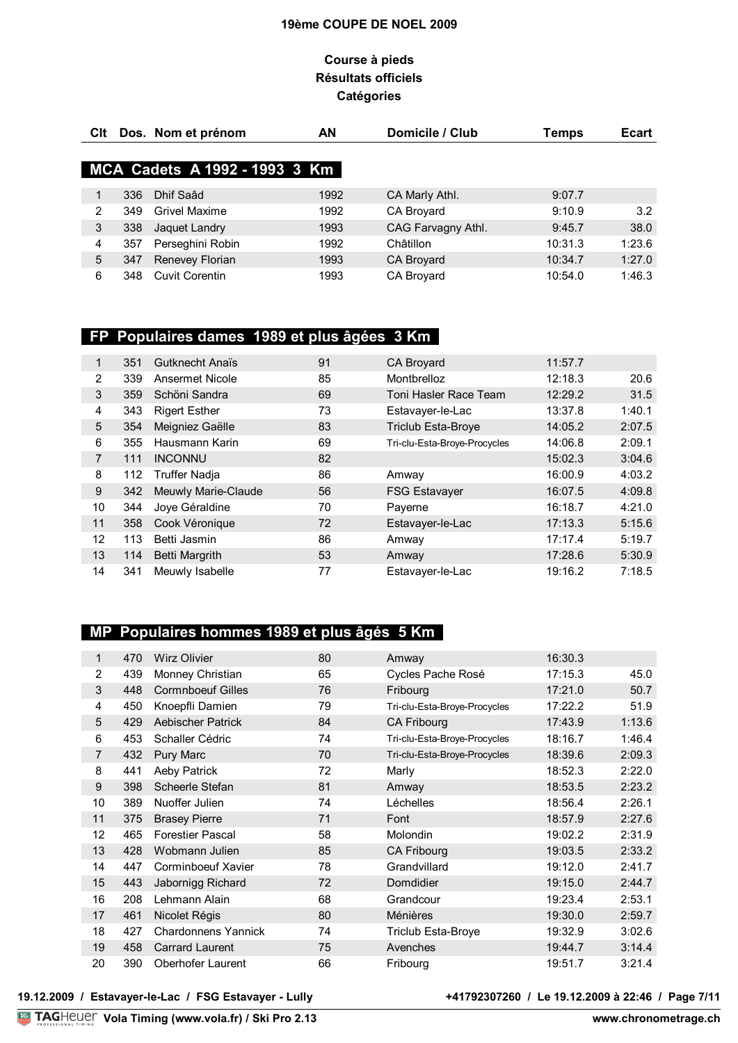## **Course à pieds Résultats officiels Catégories**

| Clt |     | Dos. Nom et prénom            | AN   | Domicile / Club    | Temps   | <b>Ecart</b> |
|-----|-----|-------------------------------|------|--------------------|---------|--------------|
|     |     | MCA Cadets A 1992 - 1993 3 Km |      |                    |         |              |
| 1   | 336 | Dhif Saad                     | 1992 | CA Marly Athl.     | 9:07.7  |              |
| 2   | 349 | Grivel Maxime                 | 1992 | <b>CA Brovard</b>  | 9:10.9  | 3.2          |
| 3   | 338 | Jaquet Landry                 | 1993 | CAG Farvagny Athl. | 9:45.7  | 38.0         |
| 4   | 357 | Perseghini Robin              | 1992 | Châtillon          | 10:31.3 | 1:23.6       |
| 5   | 347 | Renevey Florian               | 1993 | CA Broyard         | 10:34.7 | 1:27.0       |
| 6   | 348 | Cuvit Corentin                | 1993 | CA Broyard         | 10:54.0 | 1:46.3       |

# **FP Populaires dames 1989 et plus âgées 3 Km**

| 1  | 351 | <b>Gutknecht Anaïs</b> | 91 | CA Broyard                   | 11:57.7 |        |
|----|-----|------------------------|----|------------------------------|---------|--------|
| 2  | 339 | Ansermet Nicole        | 85 | Montbrelloz                  | 12:18.3 | 20.6   |
| 3  | 359 | Schöni Sandra          | 69 | Toni Hasler Race Team        | 12:29.2 | 31.5   |
| 4  | 343 | <b>Rigert Esther</b>   | 73 | Estavayer-le-Lac             | 13:37.8 | 1:40.1 |
| 5  | 354 | Meigniez Gaëlle        | 83 | <b>Triclub Esta-Broye</b>    | 14:05.2 | 2:07.5 |
| 6  | 355 | Hausmann Karin         | 69 | Tri-clu-Esta-Broye-Procycles | 14:06.8 | 2:09.1 |
| 7  | 111 | <b>INCONNU</b>         | 82 |                              | 15:02.3 | 3:04.6 |
| 8  | 112 | <b>Truffer Nadja</b>   | 86 | Amway                        | 16:00.9 | 4:03.2 |
| 9  | 342 | Meuwly Marie-Claude    | 56 | <b>FSG Estavayer</b>         | 16:07.5 | 4:09.8 |
| 10 | 344 | Joye Géraldine         | 70 | Payerne                      | 16:18.7 | 4:21.0 |
| 11 | 358 | Cook Véronique         | 72 | Estavayer-le-Lac             | 17:13.3 | 5:15.6 |
| 12 | 113 | Betti Jasmin           | 86 | Amway                        | 17:17.4 | 5:19.7 |
| 13 | 114 | <b>Betti Margrith</b>  | 53 | Amway                        | 17:28.6 | 5:30.9 |
| 14 | 341 | Meuwly Isabelle        | 77 | Estavayer-le-Lac             | 19:16.2 | 7:18.5 |

# **MP Populaires hommes 1989 et plus âgés 5 Km**

| $\mathbf{1}$   | 470 | <b>Wirz Olivier</b>        | 80 | Amway                        | 16:30.3 |        |
|----------------|-----|----------------------------|----|------------------------------|---------|--------|
| 2              | 439 | Monney Christian           | 65 | Cycles Pache Rosé            | 17:15.3 | 45.0   |
| 3              | 448 | <b>Cormnboeuf Gilles</b>   | 76 | Fribourg                     | 17:21.0 | 50.7   |
| 4              | 450 | Knoepfli Damien            | 79 | Tri-clu-Esta-Broye-Procycles | 17:22.2 | 51.9   |
| 5              | 429 | <b>Aebischer Patrick</b>   | 84 | CA Fribourg                  | 17:43.9 | 1:13.6 |
| 6              | 453 | Schaller Cédric            | 74 | Tri-clu-Esta-Broye-Procycles | 18:16.7 | 1:46.4 |
| $\overline{7}$ | 432 | Pury Marc                  | 70 | Tri-clu-Esta-Broye-Procycles | 18:39.6 | 2:09.3 |
| 8              | 441 | Aeby Patrick               | 72 | Marly                        | 18:52.3 | 2:22.0 |
| 9              | 398 | Scheerle Stefan            | 81 | Amway                        | 18:53.5 | 2:23.2 |
| 10             | 389 | Nuoffer Julien             | 74 | Léchelles                    | 18:56.4 | 2:26.1 |
| 11             | 375 | <b>Brasey Pierre</b>       | 71 | Font                         | 18:57.9 | 2:27.6 |
| 12             | 465 | <b>Forestier Pascal</b>    | 58 | <b>Molondin</b>              | 19:02.2 | 2:31.9 |
| 13             | 428 | Wobmann Julien             | 85 | CA Fribourg                  | 19:03.5 | 2:33.2 |
| 14             | 447 | Corminboeuf Xavier         | 78 | Grandvillard                 | 19:12.0 | 2:41.7 |
| 15             | 443 | Jabornigg Richard          | 72 | Domdidier                    | 19:15.0 | 2:44.7 |
| 16             | 208 | Lehmann Alain              | 68 | Grandcour                    | 19:23.4 | 2:53.1 |
| 17             | 461 | Nicolet Régis              | 80 | Ménières                     | 19:30.0 | 2:59.7 |
| 18             | 427 | <b>Chardonnens Yannick</b> | 74 | <b>Triclub Esta-Broye</b>    | 19:32.9 | 3:02.6 |
| 19             | 458 | <b>Carrard Laurent</b>     | 75 | Avenches                     | 19:44.7 | 3:14.4 |
| 20             | 390 | Oberhofer Laurent          | 66 | Fribourg                     | 19:51.7 | 3:21.4 |

+41792307260 / Le 19.12.2009 à 22:46 / Page 7/11<br>www.chronometrage.ch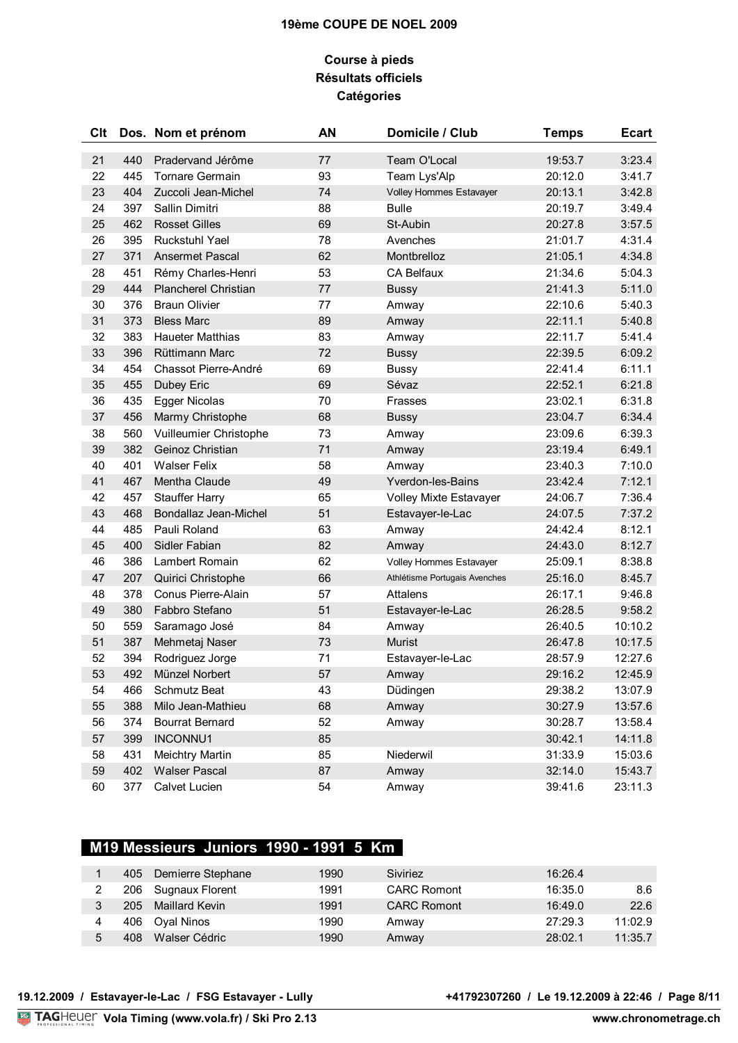## **Course à pieds Résultats officiels Catégories**

| Clt |     | Dos. Nom et prénom      | <b>AN</b> | Domicile / Club               | <b>Temps</b> | <b>Ecart</b> |
|-----|-----|-------------------------|-----------|-------------------------------|--------------|--------------|
| 21  | 440 | Pradervand Jérôme       | 77        | Team O'Local                  | 19:53.7      | 3:23.4       |
| 22  | 445 | Tornare Germain         | 93        | Team Lys'Alp                  | 20:12.0      | 3:41.7       |
| 23  | 404 | Zuccoli Jean-Michel     | 74        | Volley Hommes Estavayer       | 20:13.1      | 3:42.8       |
| 24  | 397 | Sallin Dimitri          | 88        | <b>Bulle</b>                  | 20:19.7      | 3:49.4       |
| 25  | 462 | <b>Rosset Gilles</b>    | 69        | St-Aubin                      | 20:27.8      | 3:57.5       |
| 26  | 395 | Ruckstuhl Yael          | 78        | Avenches                      | 21:01.7      | 4:31.4       |
| 27  | 371 | <b>Ansermet Pascal</b>  | 62        | Montbrelloz                   | 21:05.1      | 4:34.8       |
| 28  | 451 | Rémy Charles-Henri      | 53        | CA Belfaux                    | 21:34.6      | 5:04.3       |
| 29  | 444 | Plancherel Christian    | 77        | <b>Bussy</b>                  | 21:41.3      | 5:11.0       |
| 30  | 376 | <b>Braun Olivier</b>    | 77        | Amway                         | 22:10.6      | 5:40.3       |
| 31  | 373 | <b>Bless Marc</b>       | 89        | Amway                         | 22:11.1      | 5:40.8       |
| 32  | 383 | <b>Haueter Matthias</b> | 83        | Amway                         | 22:11.7      | 5:41.4       |
| 33  | 396 | Rüttimann Marc          | 72        | <b>Bussy</b>                  | 22:39.5      | 6:09.2       |
| 34  | 454 | Chassot Pierre-André    | 69        | <b>Bussy</b>                  | 22:41.4      | 6:11.1       |
| 35  | 455 | Dubey Eric              | 69        | Sévaz                         | 22:52.1      | 6:21.8       |
| 36  | 435 | Egger Nicolas           | 70        | Frasses                       | 23:02.1      | 6:31.8       |
| 37  | 456 | Marmy Christophe        | 68        | <b>Bussy</b>                  | 23:04.7      | 6:34.4       |
| 38  | 560 | Vuilleumier Christophe  | 73        | Amway                         | 23:09.6      | 6:39.3       |
| 39  | 382 | Geinoz Christian        | 71        | Amway                         | 23:19.4      | 6:49.1       |
| 40  | 401 | <b>Walser Felix</b>     | 58        | Amway                         | 23:40.3      | 7:10.0       |
| 41  | 467 | Mentha Claude           | 49        | Yverdon-les-Bains             | 23:42.4      | 7:12.1       |
| 42  | 457 | <b>Stauffer Harry</b>   | 65        | Volley Mixte Estavayer        | 24:06.7      | 7:36.4       |
| 43  | 468 | Bondallaz Jean-Michel   | 51        | Estavayer-le-Lac              | 24:07.5      | 7:37.2       |
| 44  | 485 | Pauli Roland            | 63        | Amway                         | 24:42.4      | 8:12.1       |
| 45  | 400 | Sidler Fabian           | 82        | Amway                         | 24:43.0      | 8:12.7       |
| 46  | 386 | Lambert Romain          | 62        | Volley Hommes Estavayer       | 25:09.1      | 8:38.8       |
| 47  | 207 | Quirici Christophe      | 66        | Athlétisme Portugais Avenches | 25:16.0      | 8:45.7       |
| 48  | 378 | Conus Pierre-Alain      | 57        | Attalens                      | 26:17.1      | 9:46.8       |
| 49  | 380 | Fabbro Stefano          | 51        | Estavayer-le-Lac              | 26:28.5      | 9:58.2       |
| 50  | 559 | Saramago José           | 84        | Amway                         | 26:40.5      | 10:10.2      |
| 51  | 387 | Mehmetaj Naser          | 73        | Murist                        | 26:47.8      | 10:17.5      |
| 52  | 394 | Rodriguez Jorge         | 71        | Estavayer-le-Lac              | 28:57.9      | 12:27.6      |
| 53  | 492 | Münzel Norbert          | 57        | Amway                         | 29:16.2      | 12:45.9      |
| 54  | 466 | Schmutz Beat            | 43        | Düdingen                      | 29:38.2      | 13:07.9      |
| 55  | 388 | Milo Jean-Mathieu       | 68        | Amway                         | 30:27.9      | 13:57.6      |
| 56  | 374 | <b>Bourrat Bernard</b>  | 52        | Amway                         | 30:28.7      | 13:58.4      |
| 57  | 399 | INCONNU1                | 85        |                               | 30:42.1      | 14:11.8      |
| 58  | 431 | <b>Meichtry Martin</b>  | 85        | Niederwil                     | 31:33.9      | 15:03.6      |
| 59  | 402 | <b>Walser Pascal</b>    | 87        | Amway                         | 32:14.0      | 15:43.7      |
| 60  | 377 | Calvet Lucien           | 54        | Amway                         | 39:41.6      | 23:11.3      |

# **M19 Messieurs Juniors 1990 - 1991 5 Km**

|   | 405 | Demierre Stephane     | 1990 | Siviriez           | 16:26.4 |         |
|---|-----|-----------------------|------|--------------------|---------|---------|
|   | 206 | Sugnaux Florent       | 1991 | <b>CARC Romont</b> | 16:35.0 | 8.6     |
|   | 205 | <b>Maillard Kevin</b> | 1991 | <b>CARC Romont</b> | 16:49.0 | 22.6    |
|   | 406 | Oval Ninos            | 1990 | Amway              | 27:29.3 | 11:02.9 |
| 5 | 408 | Walser Cédric         | 1990 | Amway              | 28:02.1 | 11:35.7 |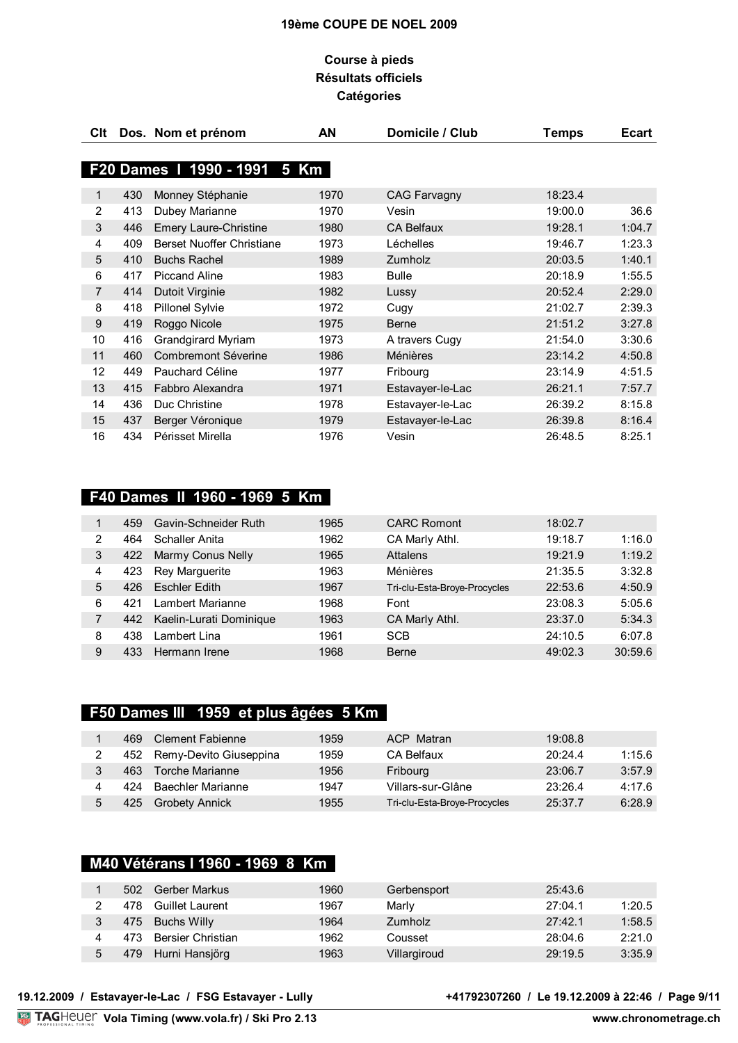## **Course à pieds Résultats officiels Catégories**

| Clt            |     | Dos. Nom et prénom           | AN   | Domicile / Club     | <b>Temps</b> | <b>Ecart</b> |
|----------------|-----|------------------------------|------|---------------------|--------------|--------------|
|                |     |                              |      |                     |              |              |
|                |     | F20 Dames 1 1990 - 1991 5 Km |      |                     |              |              |
| 1              | 430 | Monney Stéphanie             | 1970 | <b>CAG Farvagny</b> | 18:23.4      |              |
| 2              | 413 | Dubey Marianne               | 1970 | Vesin               | 19:00.0      | 36.6         |
| 3              | 446 | <b>Emery Laure-Christine</b> | 1980 | <b>CA Belfaux</b>   | 19:28.1      | 1:04.7       |
| 4              | 409 | Berset Nuoffer Christiane    | 1973 | Léchelles           | 19:46.7      | 1:23.3       |
| 5              | 410 | <b>Buchs Rachel</b>          | 1989 | Zumholz             | 20:03.5      | 1:40.1       |
| 6              | 417 | <b>Piccand Aline</b>         | 1983 | <b>Bulle</b>        | 20:18.9      | 1:55.5       |
| $\overline{7}$ | 414 | Dutoit Virginie              | 1982 | Lussy               | 20:52.4      | 2:29.0       |
| 8              | 418 | <b>Pillonel Sylvie</b>       | 1972 | Cugy                | 21:02.7      | 2:39.3       |
| 9              | 419 | Roggo Nicole                 | 1975 | <b>Berne</b>        | 21:51.2      | 3:27.8       |
| 10             | 416 | <b>Grandgirard Myriam</b>    | 1973 | A travers Cugy      | 21:54.0      | 3:30.6       |
| 11             | 460 | Combremont Séverine          | 1986 | <b>Ménières</b>     | 23:14.2      | 4:50.8       |
| 12             | 449 | Pauchard Céline              | 1977 | Fribourg            | 23:14.9      | 4:51.5       |
| 13             | 415 | Fabbro Alexandra             | 1971 | Estavayer-le-Lac    | 26:21.1      | 7:57.7       |
| 14             | 436 | Duc Christine                | 1978 | Estavayer-le-Lac    | 26:39.2      | 8:15.8       |
| 15             | 437 | Berger Véronique             | 1979 | Estavayer-le-Lac    | 26:39.8      | 8:16.4       |
| 16             | 434 | Périsset Mirella             | 1976 | Vesin               | 26:48.5      | 8:25.1       |

# **F40 Dames II 1960 - 1969 5 Km**

|   | 459 | <b>Gavin-Schneider Ruth</b> | 1965 | <b>CARC Romont</b>           | 18:02.7 |         |
|---|-----|-----------------------------|------|------------------------------|---------|---------|
| າ | 464 | Schaller Anita              | 1962 | CA Marly Athl.               | 19:18.7 | 1:16.0  |
| 3 | 422 | Marmy Conus Nelly           | 1965 | Attalens                     | 19:21.9 | 1:19.2  |
| 4 | 423 | Rey Marguerite              | 1963 | Ménières                     | 21:35.5 | 3:32.8  |
| 5 | 426 | <b>Eschler Edith</b>        | 1967 | Tri-clu-Esta-Broye-Procycles | 22:53.6 | 4:50.9  |
| 6 | 421 | Lambert Marianne            | 1968 | Font                         | 23:08.3 | 5:05.6  |
|   | 442 | Kaelin-Lurati Dominique     | 1963 | CA Marly Athl.               | 23:37.0 | 5:34.3  |
| 8 | 438 | Lambert Lina                | 1961 | <b>SCB</b>                   | 24:10.5 | 6:07.8  |
| 9 | 433 | Hermann Irene               | 1968 | Berne                        | 49:02.3 | 30:59.6 |

# **F50 Dames III 1959 et plus âgées 5 Km**

|   | 469 | Clement Fabienne           | 1959 | ACP Matran                   | 19:08.8 |        |
|---|-----|----------------------------|------|------------------------------|---------|--------|
|   |     | 452 Remy-Devito Giuseppina | 1959 | CA Belfaux                   | 20:24.4 | 1:15.6 |
|   | 463 | Torche Marianne            | 1956 | Fribourg                     | 23:06.7 | 3:57.9 |
|   | 424 | Baechler Marianne          | 1947 | Villars-sur-Glâne            | 23:26.4 | 4:17.6 |
| 5 | 425 | <b>Grobety Annick</b>      | 1955 | Tri-clu-Esta-Broye-Procycles | 25:37.7 | 6:28.9 |

# **M40 Vétérans I 1960 - 1969 8 Km**

|   | 502  | Gerber Markus          | 1960 | Gerbensport  | 25:43.6 |        |
|---|------|------------------------|------|--------------|---------|--------|
|   | 478  | <b>Guillet Laurent</b> | 1967 | Marly        | 27:04.1 | 1:20.5 |
|   | 475  | Buchs Willy            | 1964 | Zumholz      | 27:42.1 | 1:58.5 |
|   | 473. | Bersier Christian      | 1962 | Cousset      | 28:04.6 | 2:21.0 |
| 5 | 479  | Hurni Hansjörg         | 1963 | Villargiroud | 29:19.5 | 3:35.9 |

# **+41792307260** / Le 19.12.2009 à 22:46 / Page 9/11<br>www.chronometrage.ch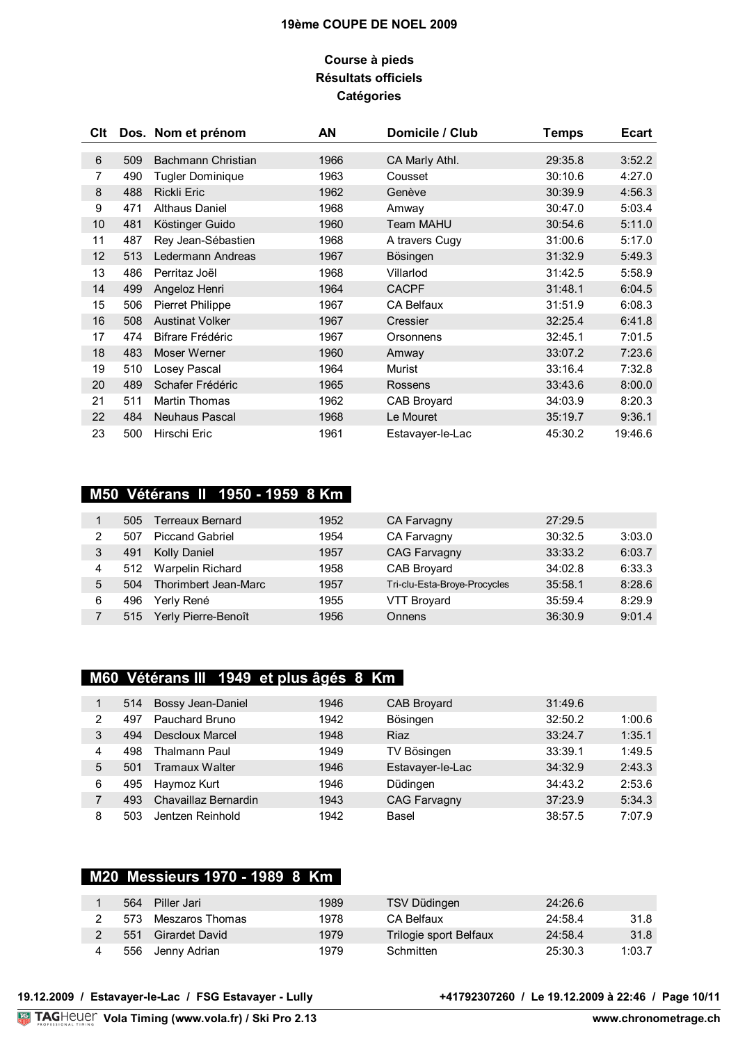## **Course à pieds Résultats officiels Catégories**

| CIt |     | Dos. Nom et prénom      | AN   | Domicile / Club   | <b>Temps</b> | <b>Ecart</b> |
|-----|-----|-------------------------|------|-------------------|--------------|--------------|
| 6   | 509 | Bachmann Christian      | 1966 | CA Marly Athl.    | 29:35.8      | 3:52.2       |
| 7   | 490 | Tugler Dominique        | 1963 | Cousset           | 30:10.6      | 4:27.0       |
| 8   | 488 | <b>Rickli Eric</b>      | 1962 | Genève            | 30:39.9      | 4:56.3       |
| 9   | 471 | <b>Althaus Daniel</b>   | 1968 | Amway             | 30:47.0      | 5:03.4       |
| 10  | 481 | Köstinger Guido         | 1960 | <b>Team MAHU</b>  | 30:54.6      | 5:11.0       |
| 11  | 487 | Rey Jean-Sébastien      | 1968 | A travers Cugy    | 31:00.6      | 5:17.0       |
| 12  | 513 | Ledermann Andreas       | 1967 | Bösingen          | 31:32.9      | 5:49.3       |
| 13  | 486 | Perritaz Joël           | 1968 | Villarlod         | 31:42.5      | 5:58.9       |
| 14  | 499 | Angeloz Henri           | 1964 | <b>CACPF</b>      | 31:48.1      | 6:04.5       |
| 15  | 506 | <b>Pierret Philippe</b> | 1967 | <b>CA Belfaux</b> | 31:51.9      | 6:08.3       |
| 16  | 508 | <b>Austinat Volker</b>  | 1967 | Cressier          | 32:25.4      | 6:41.8       |
| 17  | 474 | Bifrare Frédéric        | 1967 | Orsonnens         | 32:45.1      | 7:01.5       |
| 18  | 483 | Moser Werner            | 1960 | Amway             | 33:07.2      | 7:23.6       |
| 19  | 510 | Losey Pascal            | 1964 | <b>Murist</b>     | 33:16.4      | 7:32.8       |
| 20  | 489 | Schafer Frédéric        | 1965 | Rossens           | 33:43.6      | 8:00.0       |
| 21  | 511 | <b>Martin Thomas</b>    | 1962 | CAB Broyard       | 34:03.9      | 8:20.3       |
| 22  | 484 | Neuhaus Pascal          | 1968 | Le Mouret         | 35:19.7      | 9:36.1       |
| 23  | 500 | Hirschi Eric            | 1961 | Estavayer-le-Lac  | 45:30.2      | 19:46.6      |

# **M50 Vétérans II 1950 - 1959 8 Km**

|   | 505 | <b>Terreaux Bernard</b> | 1952 | CA Farvagny                  | 27:29.5 |        |
|---|-----|-------------------------|------|------------------------------|---------|--------|
| າ | 507 | <b>Piccand Gabriel</b>  | 1954 | CA Farvagny                  | 30:32.5 | 3:03.0 |
|   | 491 | Kolly Daniel            | 1957 | <b>CAG Farvagny</b>          | 33:33.2 | 6:03.7 |
| 4 | 512 | <b>Warpelin Richard</b> | 1958 | CAB Broyard                  | 34:02.8 | 6:33.3 |
| 5 | 504 | Thorimbert Jean-Marc    | 1957 | Tri-clu-Esta-Broye-Procycles | 35:58.1 | 8:28.6 |
| 6 | 496 | Yerly René              | 1955 | <b>VTT Broyard</b>           | 35:59.4 | 8:29.9 |
|   | 515 | Yerly Pierre-Benoît     | 1956 | Onnens                       | 36:30.9 | 9:01.4 |

# **M60 Vétérans III 1949 et plus âgés 8 Km**

|   | 514 | Bossy Jean-Daniel    | 1946 | CAB Broyard         | 31:49.6 |        |
|---|-----|----------------------|------|---------------------|---------|--------|
| 2 | 497 | Pauchard Bruno       | 1942 | Bösingen            | 32:50.2 | 1:00.6 |
| 3 | 494 | Descloux Marcel      | 1948 | <b>Riaz</b>         | 33:24.7 | 1:35.1 |
| 4 | 498 | Thalmann Paul        | 1949 | TV Bösingen         | 33:39.1 | 1:49.5 |
| 5 | 501 | Tramaux Walter       | 1946 | Estavayer-le-Lac    | 34:32.9 | 2:43.3 |
| 6 | 495 | Haymoz Kurt          | 1946 | Düdingen            | 34:43.2 | 2:53.6 |
|   | 493 | Chavaillaz Bernardin | 1943 | <b>CAG Farvagny</b> | 37:23.9 | 5:34.3 |
| 8 | 503 | Jentzen Reinhold     | 1942 | Basel               | 38:57.5 | 7:07.9 |

# **M20 Messieurs 1970 - 1989 8 Km**

| 564 | Piller Jari     | 1989 | TSV Düdingen           | 24:26.6 |        |
|-----|-----------------|------|------------------------|---------|--------|
| 573 | Meszaros Thomas | 1978 | CA Belfaux             | 24:58.4 | 31.8   |
| 551 | Girardet David  | 1979 | Trilogie sport Belfaux | 24:58.4 | 31.8   |
| 556 | Jenny Adrian    | 1979 | Schmitten              | 25:30.3 | 1:03.7 |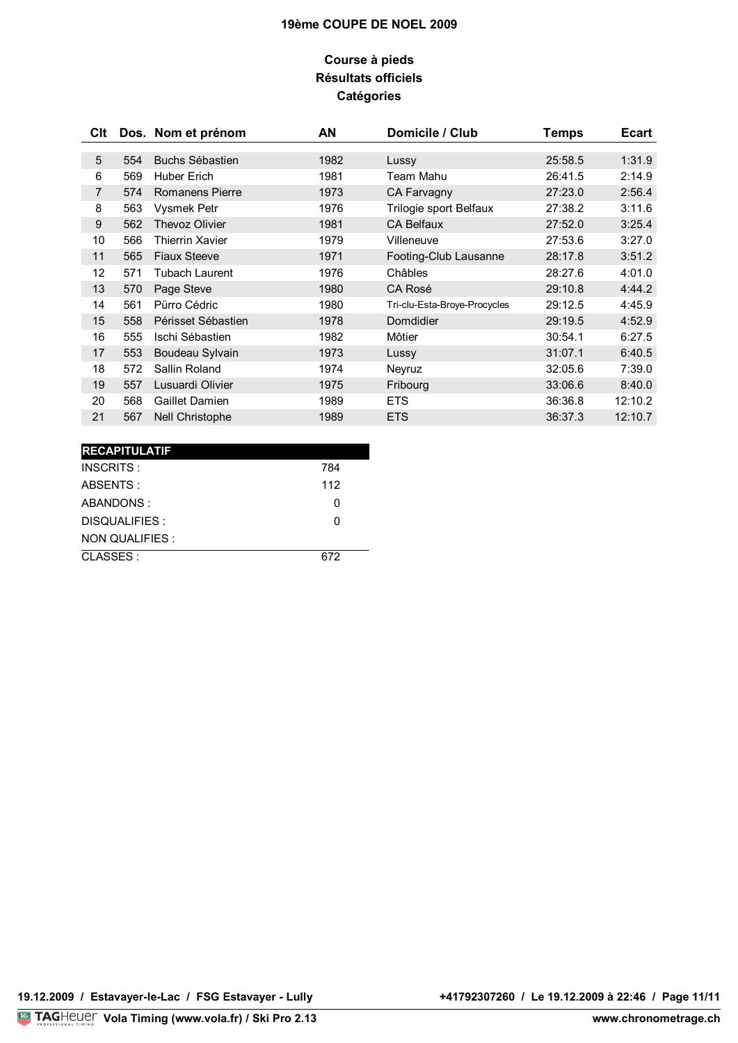# **Course à pieds Résultats officiels Catégories**

| Clt |     | Dos. Nom et prénom     | AN   | Domicile / Club              | <b>Temps</b> | <b>Ecart</b> |
|-----|-----|------------------------|------|------------------------------|--------------|--------------|
| 5   | 554 | Buchs Sébastien        | 1982 | Lussy                        | 25:58.5      | 1:31.9       |
| 6   | 569 | <b>Huber Erich</b>     | 1981 | Team Mahu                    | 26:41.5      | 2:14.9       |
| 7   | 574 | <b>Romanens Pierre</b> | 1973 | CA Farvagny                  | 27:23.0      | 2:56.4       |
| 8   | 563 | <b>Vysmek Petr</b>     | 1976 | Trilogie sport Belfaux       | 27:38.2      | 3:11.6       |
| 9   | 562 | <b>Thevoz Olivier</b>  | 1981 | <b>CA Belfaux</b>            | 27:52.0      | 3:25.4       |
| 10  | 566 | Thierrin Xavier        | 1979 | Villeneuve                   | 27:53.6      | 3:27.0       |
| 11  | 565 | <b>Fiaux Steeve</b>    | 1971 | Footing-Club Lausanne        | 28:17.8      | 3:51.2       |
| 12  | 571 | Tubach Laurent         | 1976 | Châbles                      | 28:27.6      | 4:01.0       |
| 13  | 570 | Page Steve             | 1980 | CA Rosé                      | 29:10.8      | 4:44.2       |
| 14  | 561 | Pürro Cédric           | 1980 | Tri-clu-Esta-Broye-Procycles | 29:12.5      | 4:45.9       |
| 15  | 558 | Périsset Sébastien     | 1978 | Domdidier                    | 29:19.5      | 4:52.9       |
| 16  | 555 | Ischi Sébastien        | 1982 | Môtier                       | 30:54.1      | 6:27.5       |
| 17  | 553 | Boudeau Sylvain        | 1973 | Lussy                        | 31:07.1      | 6:40.5       |
| 18  | 572 | Sallin Roland          | 1974 | Neyruz                       | 32:05.6      | 7:39.0       |
| 19  | 557 | Lusuardi Olivier       | 1975 | Fribourg                     | 33:06.6      | 8:40.0       |
| 20  | 568 | Gaillet Damien         | 1989 | <b>ETS</b>                   | 36:36.8      | 12:10.2      |
| 21  | 567 | Nell Christophe        | 1989 | <b>ETS</b>                   | 36:37.3      | 12:10.7      |

| <b>RECAPITULATIF</b> |              |
|----------------------|--------------|
| INSCRITS:            | 784          |
| ABSENTS:             | 112          |
| ABANDONS:            | <sup>0</sup> |
| DISQUALIFIES :       | O            |
| NON QUALIFIES :      |              |
| CLASSES:             | 672          |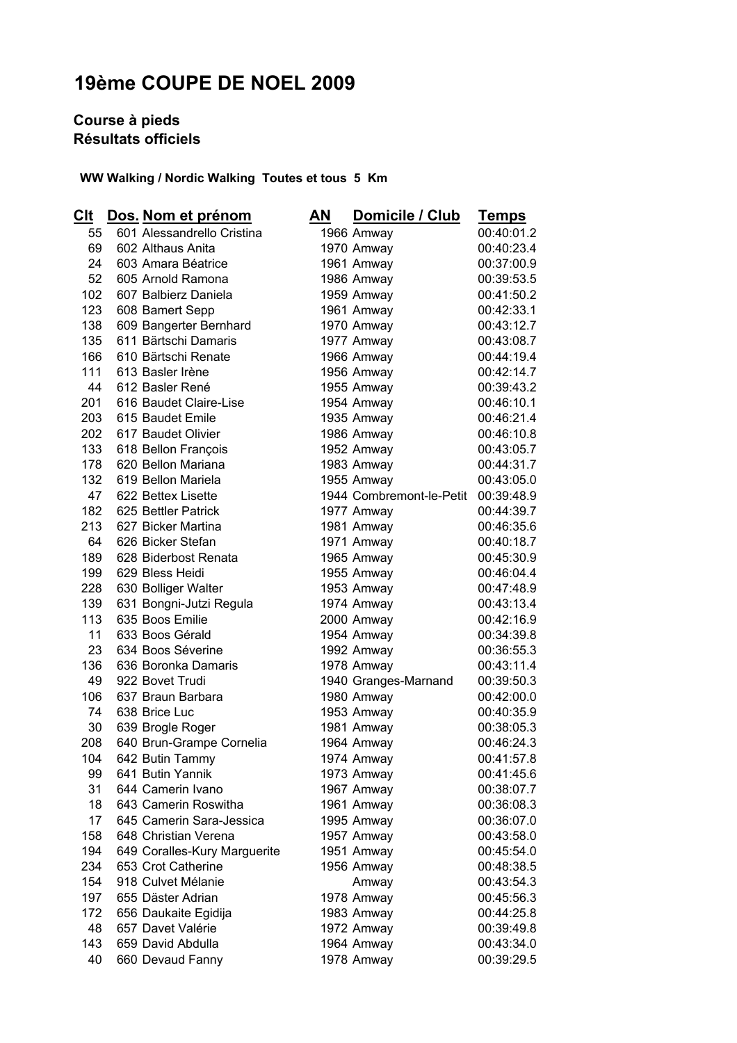# **Course à pieds Résultats officiels**

 **WW Walking / Nordic Walking Toutes et tous 5 Km** 

| Clt        | Dos. Nom et prénom                               | ΑN | Domicile / Club          | <u>Temps</u>             |
|------------|--------------------------------------------------|----|--------------------------|--------------------------|
| 55         | 601 Alessandrello Cristina                       |    | 1966 Amway               | 00:40:01.2               |
| 69         | 602 Althaus Anita                                |    | 1970 Amway               | 00:40:23.4               |
| 24         | 603 Amara Béatrice                               |    | 1961 Amway               | 00:37:00.9               |
| 52         | 605 Arnold Ramona                                |    | 1986 Amway               | 00:39:53.5               |
| 102        | 607 Balbierz Daniela                             |    | 1959 Amway               | 00:41:50.2               |
| 123        | 608 Bamert Sepp                                  |    | 1961 Amway               | 00:42:33.1               |
| 138        | 609 Bangerter Bernhard                           |    | 1970 Amway               | 00:43:12.7               |
| 135        | 611 Bärtschi Damaris                             |    | 1977 Amway               | 00:43:08.7               |
| 166        | 610 Bärtschi Renate                              |    | 1966 Amway               | 00:44:19.4               |
| 111        | 613 Basler Irène                                 |    | 1956 Amway               | 00:42:14.7               |
| 44         | 612 Basler René                                  |    | 1955 Amway               | 00:39:43.2               |
| 201        | 616 Baudet Claire-Lise                           |    | 1954 Amway               | 00:46:10.1               |
| 203        | 615 Baudet Emile                                 |    | 1935 Amway               | 00:46:21.4               |
| 202        | 617 Baudet Olivier                               |    | 1986 Amway               | 00:46:10.8               |
| 133        | 618 Bellon François                              |    | 1952 Amway               | 00:43:05.7               |
| 178        | 620 Bellon Mariana                               |    | 1983 Amway               | 00:44:31.7               |
| 132        | 619 Bellon Mariela                               |    | 1955 Amway               | 00:43:05.0               |
| 47         | 622 Bettex Lisette                               |    | 1944 Combremont-le-Petit | 00:39:48.9               |
| 182        | 625 Bettler Patrick                              |    | 1977 Amway               | 00:44:39.7               |
| 213        | 627 Bicker Martina                               |    | 1981 Amway               | 00:46:35.6               |
| 64         | 626 Bicker Stefan                                |    | 1971 Amway               | 00:40:18.7               |
| 189        | 628 Biderbost Renata                             |    | 1965 Amway               | 00:45:30.9               |
| 199        | 629 Bless Heidi                                  |    | 1955 Amway               | 00:46:04.4               |
| 228        | 630 Bolliger Walter                              |    | 1953 Amway               | 00:47:48.9               |
| 139        | 631 Bongni-Jutzi Regula                          |    | 1974 Amway               | 00:43:13.4               |
| 113        | 635 Boos Emilie                                  |    | 2000 Amway               | 00:42:16.9               |
| 11         | 633 Boos Gérald                                  |    | 1954 Amway               | 00:34:39.8               |
| 23         | 634 Boos Séverine                                |    | 1992 Amway               | 00:36:55.3               |
| 136        | 636 Boronka Damaris                              |    | 1978 Amway               | 00:43:11.4               |
| 49         | 922 Bovet Trudi                                  |    | 1940 Granges-Marnand     | 00:39:50.3               |
| 106        | 637 Braun Barbara                                |    | 1980 Amway               | 00:42:00.0               |
| 74         | 638 Brice Luc                                    |    | 1953 Amway               | 00:40:35.9               |
| 30         | 639 Brogle Roger                                 |    | 1981 Amway               | 00:38:05.3               |
| 208        | 640 Brun-Grampe Cornelia                         |    | 1964 Amway               | 00:46:24.3               |
| 104        | 642 Butin Tammy                                  |    | 1974 Amway               | 00:41:57.8               |
| 99         | 641 Butin Yannik                                 |    | 1973 Amway               | 00:41:45.6               |
| 31         | 644 Camerin Ivano                                |    | 1967 Amway               | 00:38:07.7               |
| 18         | 643 Camerin Roswitha                             |    | 1961 Amway               | 00:36:08.3               |
| 17         | 645 Camerin Sara-Jessica<br>648 Christian Verena |    | 1995 Amway               | 00:36:07.0               |
| 158        |                                                  |    | 1957 Amway               | 00:43:58.0               |
| 194        | 649 Coralles-Kury Marguerite                     |    | 1951 Amway               | 00:45:54.0               |
| 234        | 653 Crot Catherine                               |    | 1956 Amway               | 00:48:38.5               |
| 154<br>197 | 918 Culvet Mélanie<br>655 Däster Adrian          |    | Amway                    | 00:43:54.3               |
|            |                                                  |    | 1978 Amway               | 00:45:56.3<br>00:44:25.8 |
| 172<br>48  | 656 Daukaite Egidija<br>657 Davet Valérie        |    | 1983 Amway               | 00:39:49.8               |
| 143        | 659 David Abdulla                                |    | 1972 Amway<br>1964 Amway | 00:43:34.0               |
| 40         | 660 Devaud Fanny                                 |    | 1978 Amway               | 00:39:29.5               |
|            |                                                  |    |                          |                          |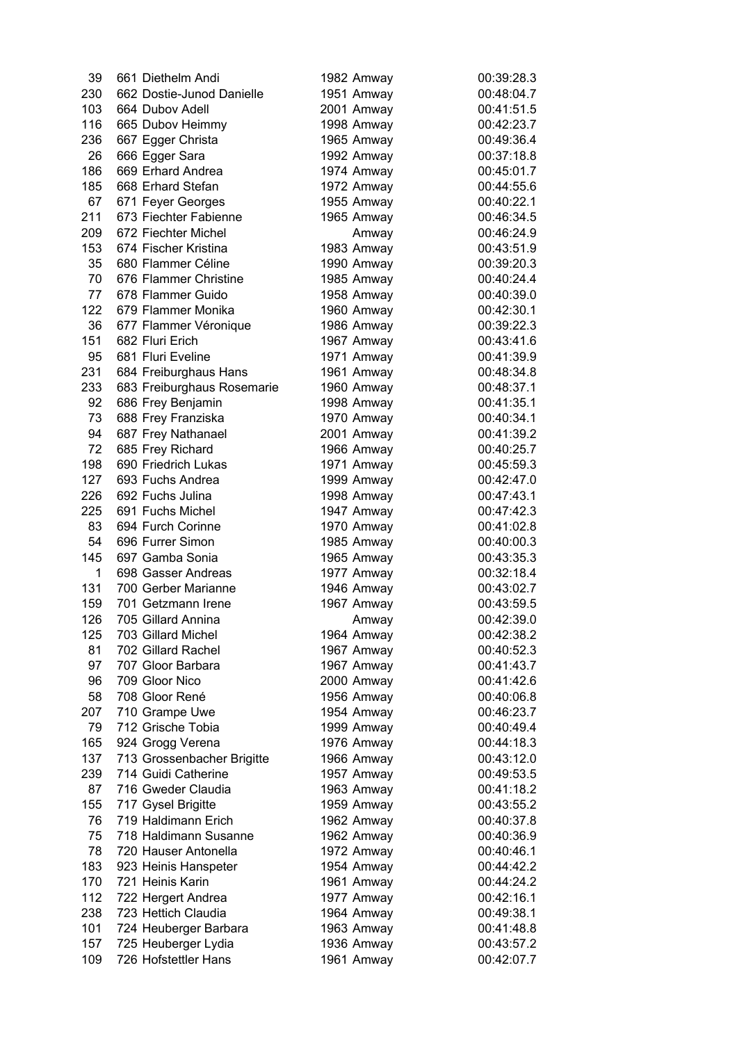| 39  | 661 Diethelm Andi                   | 1982 Amway               | 00:39:28.3 |
|-----|-------------------------------------|--------------------------|------------|
| 230 | 662 Dostie-Junod Danielle           | 1951 Amway               | 00:48:04.7 |
| 103 | 664 Dubov Adell                     | 2001 Amway               | 00:41:51.5 |
| 116 | 665 Dubov Heimmy                    | 1998 Amway               | 00:42:23.7 |
| 236 | 667 Egger Christa                   | 1965 Amway               | 00:49:36.4 |
| 26  | 666 Egger Sara                      | 1992 Amway               | 00:37:18.8 |
| 186 | 669 Erhard Andrea                   | 1974 Amway               | 00:45:01.7 |
| 185 | 668 Erhard Stefan                   | 1972 Amway               | 00:44:55.6 |
| 67  | 671 Feyer Georges                   | 1955 Amway               | 00:40:22.1 |
| 211 | 673 Fiechter Fabienne               | 1965 Amway               | 00:46:34.5 |
| 209 | 672 Fiechter Michel                 | Amway                    | 00:46:24.9 |
| 153 | 674 Fischer Kristina                | 1983 Amway               | 00:43:51.9 |
| 35  | 680 Flammer Céline                  | 1990 Amway               | 00:39:20.3 |
| 70  | 676 Flammer Christine               | 1985 Amway               | 00:40:24.4 |
| 77  | 678 Flammer Guido                   | 1958 Amway               | 00:40:39.0 |
| 122 | 679 Flammer Monika                  | 1960 Amway               | 00:42:30.1 |
| 36  | 677 Flammer Véronique               | 1986 Amway               | 00:39:22.3 |
| 151 | 682 Fluri Erich                     | 1967 Amway               | 00:43:41.6 |
| 95  | 681 Fluri Eveline                   | 1971 Amway               | 00:41:39.9 |
| 231 | 684 Freiburghaus Hans               | 1961 Amway               | 00:48:34.8 |
| 233 | 683 Freiburghaus Rosemarie          | 1960 Amway               | 00:48:37.1 |
| 92  | 686 Frey Benjamin                   | 1998 Amway               | 00:41:35.1 |
| 73  | 688 Frey Franziska                  | 1970 Amway               | 00:40:34.1 |
| 94  | 687 Frey Nathanael                  | 2001 Amway               | 00:41:39.2 |
| 72  | 685 Frey Richard                    | 1966 Amway               | 00:40:25.7 |
| 198 | 690 Friedrich Lukas                 | 1971 Amway               | 00:45:59.3 |
| 127 | 693 Fuchs Andrea                    | 1999 Amway               | 00:42:47.0 |
| 226 | 692 Fuchs Julina                    | 1998 Amway               | 00:47:43.1 |
| 225 | 691 Fuchs Michel                    | 1947 Amway               | 00:47:42.3 |
| 83  | 694 Furch Corinne                   | 1970 Amway               | 00:41:02.8 |
| 54  | 696 Furrer Simon                    | 1985 Amway               | 00:40:00.3 |
| 145 | 697 Gamba Sonia                     | 1965 Amway               | 00:43:35.3 |
| 1   | 698 Gasser Andreas                  | 1977 Amway               | 00:32:18.4 |
| 131 | 700 Gerber Marianne                 | 1946 Amway               | 00:43:02.7 |
| 159 | 701 Getzmann Irene                  | 1967 Amway               | 00:43:59.5 |
| 126 | 705 Gillard Annina                  |                          | 00:42:39.0 |
| 125 | 703 Gillard Michel                  | Amway                    | 00:42:38.2 |
|     | 702 Gillard Rachel                  | 1964 Amway               |            |
| 81  | 707 Gloor Barbara                   | 1967 Amway<br>1967 Amway | 00:40:52.3 |
| 97  | 709 Gloor Nico                      |                          | 00:41:43.7 |
| 96  |                                     | 2000 Amway               | 00:41:42.6 |
| 58  | 708 Gloor René                      | 1956 Amway               | 00:40:06.8 |
| 207 | 710 Grampe Uwe<br>712 Grische Tobia | 1954 Amway               | 00:46:23.7 |
| 79  |                                     | 1999 Amway               | 00:40:49.4 |
| 165 | 924 Grogg Verena                    | 1976 Amway               | 00:44:18.3 |
| 137 | 713 Grossenbacher Brigitte          | 1966 Amway               | 00:43:12.0 |
| 239 | 714 Guidi Catherine                 | 1957 Amway               | 00:49:53.5 |
| 87  | 716 Gweder Claudia                  | 1963 Amway               | 00:41:18.2 |
| 155 | 717 Gysel Brigitte                  | 1959 Amway               | 00:43:55.2 |
| 76  | 719 Haldimann Erich                 | 1962 Amway               | 00:40:37.8 |
| 75  | 718 Haldimann Susanne               | 1962 Amway               | 00:40:36.9 |
| 78  | 720 Hauser Antonella                | 1972 Amway               | 00:40:46.1 |
| 183 | 923 Heinis Hanspeter                | 1954 Amway               | 00:44:42.2 |
| 170 | 721 Heinis Karin                    | 1961 Amway               | 00:44:24.2 |
| 112 | 722 Hergert Andrea                  | 1977 Amway               | 00:42:16.1 |
| 238 | 723 Hettich Claudia                 | 1964 Amway               | 00:49:38.1 |
| 101 | 724 Heuberger Barbara               | 1963 Amway               | 00:41:48.8 |
| 157 | 725 Heuberger Lydia                 | 1936 Amway               | 00:43:57.2 |
| 109 | 726 Hofstettler Hans                | 1961 Amway               | 00:42:07.7 |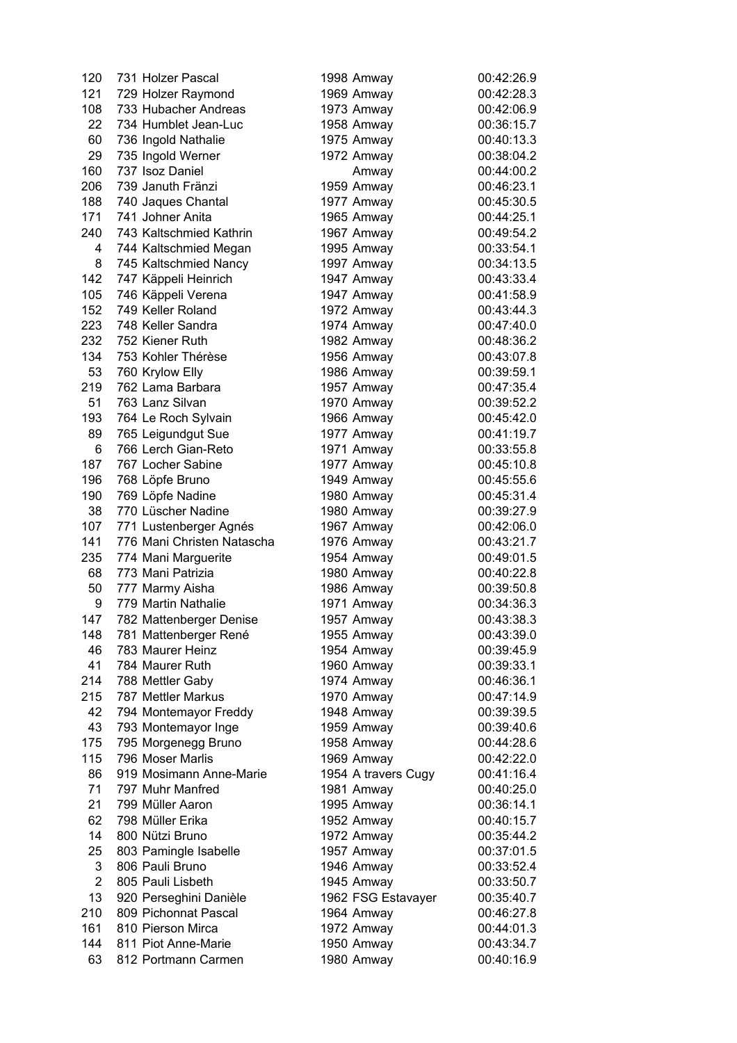| 120            | 731 Holzer Pascal          | 1998 Amway          | 00:42:26.9 |
|----------------|----------------------------|---------------------|------------|
| 121            | 729 Holzer Raymond         | 1969 Amway          | 00:42:28.3 |
| 108            | 733 Hubacher Andreas       | 1973 Amway          | 00:42:06.9 |
| 22             | 734 Humblet Jean-Luc       | 1958 Amway          | 00:36:15.7 |
| 60             | 736 Ingold Nathalie        | 1975 Amway          | 00:40:13.3 |
| 29             | 735 Ingold Werner          | 1972 Amway          | 00:38:04.2 |
| 160            | 737 Isoz Daniel            | Amway               | 00:44:00.2 |
| 206            | 739 Januth Fränzi          | 1959 Amway          | 00:46:23.1 |
| 188            | 740 Jaques Chantal         | 1977 Amway          | 00:45:30.5 |
| 171            | 741 Johner Anita           |                     | 00:44:25.1 |
|                |                            | 1965 Amway          |            |
| 240            | 743 Kaltschmied Kathrin    | 1967 Amway          | 00:49:54.2 |
| 4              | 744 Kaltschmied Megan      | 1995 Amway          | 00:33:54.1 |
| 8              | 745 Kaltschmied Nancy      | 1997 Amway          | 00:34:13.5 |
| 142            | 747 Käppeli Heinrich       | 1947 Amway          | 00:43:33.4 |
| 105            | 746 Käppeli Verena         | 1947 Amway          | 00:41:58.9 |
| 152            | 749 Keller Roland          | 1972 Amway          | 00:43:44.3 |
| 223            | 748 Keller Sandra          | 1974 Amway          | 00:47:40.0 |
| 232            | 752 Kiener Ruth            | 1982 Amway          | 00:48:36.2 |
| 134            | 753 Kohler Thérèse         | 1956 Amway          | 00:43:07.8 |
| 53             | 760 Krylow Elly            | 1986 Amway          | 00:39:59.1 |
| 219            | 762 Lama Barbara           | 1957 Amway          | 00:47:35.4 |
| 51             | 763 Lanz Silvan            | 1970 Amway          | 00:39:52.2 |
| 193            | 764 Le Roch Sylvain        | 1966 Amway          | 00:45:42.0 |
| 89             | 765 Leigundgut Sue         | 1977 Amway          | 00:41:19.7 |
| 6              | 766 Lerch Gian-Reto        | 1971 Amway          | 00:33:55.8 |
| 187            | 767 Locher Sabine          | 1977 Amway          | 00:45:10.8 |
| 196            | 768 Löpfe Bruno            | 1949 Amway          | 00:45:55.6 |
| 190            | 769 Löpfe Nadine           | 1980 Amway          | 00:45:31.4 |
| 38             | 770 Lüscher Nadine         | 1980 Amway          | 00:39:27.9 |
| 107            | 771 Lustenberger Agnés     | 1967 Amway          | 00:42:06.0 |
| 141            | 776 Mani Christen Natascha | 1976 Amway          | 00:43:21.7 |
| 235            | 774 Mani Marguerite        | 1954 Amway          | 00:49:01.5 |
| 68             | 773 Mani Patrizia          | 1980 Amway          | 00:40:22.8 |
| 50             | 777 Marmy Aisha            | 1986 Amway          | 00:39:50.8 |
| 9              | 779 Martin Nathalie        | 1971 Amway          | 00:34:36.3 |
| 147            | 782 Mattenberger Denise    | 1957 Amway          | 00:43:38.3 |
| 148            | 781 Mattenberger René      | 1955 Amway          | 00:43:39.0 |
| 46             | 783 Maurer Heinz           | 1954 Amway          | 00:39:45.9 |
| 41             | 784 Maurer Ruth            | 1960 Amway          | 00:39:33.1 |
| 214            | 788 Mettler Gaby           | 1974 Amway          | 00:46:36.1 |
| 215            | 787 Mettler Markus         | 1970 Amway          | 00:47:14.9 |
| 42             | 794 Montemayor Freddy      | 1948 Amway          | 00:39:39.5 |
| 43             | 793 Montemayor Inge        | 1959 Amway          | 00:39:40.6 |
| 175            | 795 Morgenegg Bruno        | 1958 Amway          | 00:44:28.6 |
| 115            | 796 Moser Marlis           |                     | 00:42:22.0 |
|                |                            | 1969 Amway          |            |
| 86             | 919 Mosimann Anne-Marie    | 1954 A travers Cugy | 00:41:16.4 |
| 71             | 797 Muhr Manfred           | 1981 Amway          | 00:40:25.0 |
| 21             | 799 Müller Aaron           | 1995 Amway          | 00:36:14.1 |
| 62             | 798 Müller Erika           | 1952 Amway          | 00:40:15.7 |
| 14             | 800 Nützi Bruno            | 1972 Amway          | 00:35:44.2 |
| 25             | 803 Pamingle Isabelle      | 1957 Amway          | 00:37:01.5 |
| 3              | 806 Pauli Bruno            | 1946 Amway          | 00:33:52.4 |
| $\overline{2}$ | 805 Pauli Lisbeth          | 1945 Amway          | 00:33:50.7 |
| 13             | 920 Perseghini Danièle     | 1962 FSG Estavayer  | 00:35:40.7 |
| 210            | 809 Pichonnat Pascal       | 1964 Amway          | 00:46:27.8 |
| 161            | 810 Pierson Mirca          | 1972 Amway          | 00:44:01.3 |
| 144            | 811 Piot Anne-Marie        | 1950 Amway          | 00:43:34.7 |
| 63             | 812 Portmann Carmen        | 1980 Amway          | 00:40:16.9 |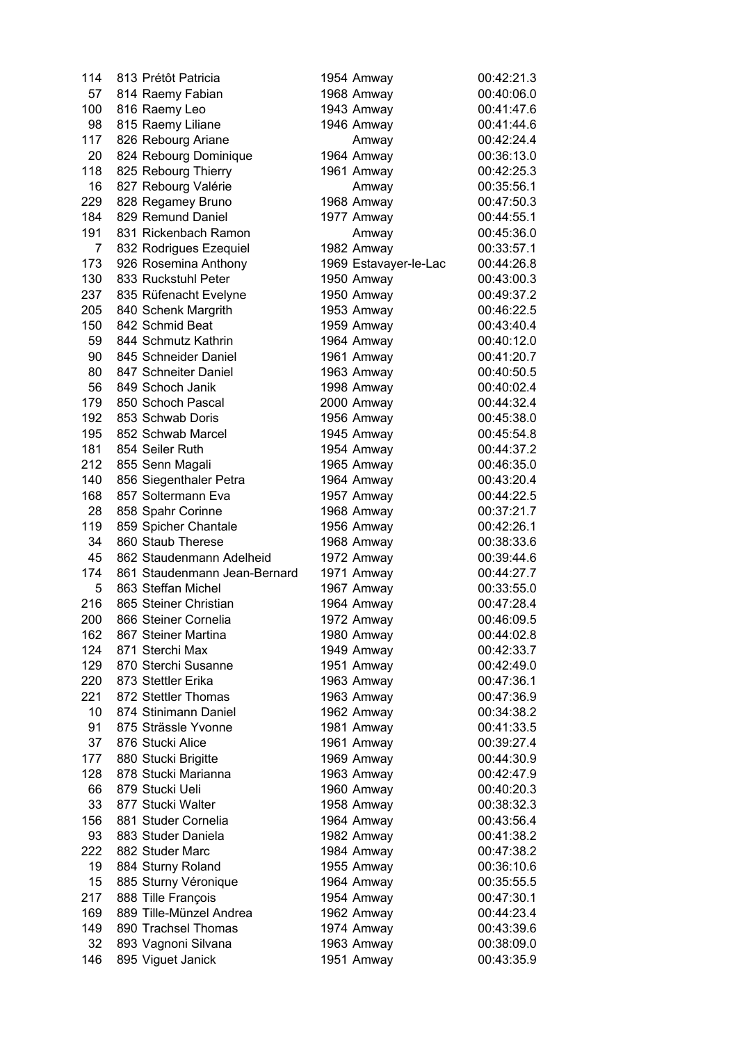| 114            | 813 Prétôt Patricia          | 1954 Amway            | 00:42:21.3 |
|----------------|------------------------------|-----------------------|------------|
| 57             | 814 Raemy Fabian             | 1968 Amway            | 00:40:06.0 |
| 100            | 816 Raemy Leo                | 1943 Amway            | 00:41:47.6 |
| 98             | 815 Raemy Liliane            | 1946 Amway            | 00:41:44.6 |
| 117            | 826 Rebourg Ariane           | Amway                 | 00:42:24.4 |
| 20             | 824 Rebourg Dominique        | 1964 Amway            | 00:36:13.0 |
| 118            | 825 Rebourg Thierry          | 1961 Amway            | 00:42:25.3 |
| 16             | 827 Rebourg Valérie          | Amway                 | 00:35:56.1 |
| 229            | 828 Regamey Bruno            | 1968 Amway            | 00:47:50.3 |
| 184            | 829 Remund Daniel            | 1977 Amway            | 00:44:55.1 |
| 191            | 831 Rickenbach Ramon         |                       | 00:45:36.0 |
|                |                              | Amway                 |            |
| $\overline{7}$ | 832 Rodrigues Ezequiel       | 1982 Amway            | 00:33:57.1 |
| 173            | 926 Rosemina Anthony         | 1969 Estavayer-le-Lac | 00:44:26.8 |
| 130            | 833 Ruckstuhl Peter          | 1950 Amway            | 00:43:00.3 |
| 237            | 835 Rüfenacht Evelyne        | 1950 Amway            | 00:49:37.2 |
| 205            | 840 Schenk Margrith          | 1953 Amway            | 00:46:22.5 |
| 150            | 842 Schmid Beat              | 1959 Amway            | 00:43:40.4 |
| 59             | 844 Schmutz Kathrin          | 1964 Amway            | 00:40:12.0 |
| 90             | 845 Schneider Daniel         | 1961 Amway            | 00:41:20.7 |
| 80             | 847 Schneiter Daniel         | 1963 Amway            | 00:40:50.5 |
| 56             | 849 Schoch Janik             | 1998 Amway            | 00:40:02.4 |
| 179            | 850 Schoch Pascal            | 2000 Amway            | 00:44:32.4 |
| 192            | 853 Schwab Doris             | 1956 Amway            | 00:45:38.0 |
| 195            | 852 Schwab Marcel            | 1945 Amway            | 00:45:54.8 |
| 181            | 854 Seiler Ruth              | 1954 Amway            | 00:44:37.2 |
| 212            | 855 Senn Magali              | 1965 Amway            | 00:46:35.0 |
| 140            | 856 Siegenthaler Petra       | 1964 Amway            | 00:43:20.4 |
| 168            | 857 Soltermann Eva           | 1957 Amway            | 00:44:22.5 |
| 28             | 858 Spahr Corinne            | 1968 Amway            | 00:37:21.7 |
| 119            | 859 Spicher Chantale         | 1956 Amway            | 00:42:26.1 |
| 34             | 860 Staub Therese            | 1968 Amway            | 00:38:33.6 |
| 45             | 862 Staudenmann Adelheid     | 1972 Amway            | 00:39:44.6 |
| 174            | 861 Staudenmann Jean-Bernard | 1971 Amway            | 00:44:27.7 |
| 5              | 863 Steffan Michel           | 1967 Amway            | 00:33:55.0 |
| 216            | 865 Steiner Christian        | 1964 Amway            | 00:47:28.4 |
| 200            | 866 Steiner Cornelia         | 1972 Amway            | 00:46:09.5 |
| 162            | 867 Steiner Martina          | 1980 Amway            | 00:44:02.8 |
| 124            | 871 Sterchi Max              | 1949 Amway            | 00:42:33.7 |
| 129            | 870 Sterchi Susanne          | 1951 Amway            | 00:42:49.0 |
| 220            | 873 Stettler Erika           | 1963 Amway            | 00:47:36.1 |
| 221            | 872 Stettler Thomas          | 1963 Amway            | 00:47:36.9 |
| 10             | 874 Stinimann Daniel         | 1962 Amway            | 00:34:38.2 |
| 91             | 875 Strässle Yvonne          | 1981 Amway            | 00:41:33.5 |
| 37             | 876 Stucki Alice             | 1961 Amway            | 00:39:27.4 |
| 177            | 880 Stucki Brigitte          | 1969 Amway            | 00:44:30.9 |
| 128            | 878 Stucki Marianna          | 1963 Amway            | 00:42:47.9 |
| 66             | 879 Stucki Ueli              | 1960 Amway            | 00:40:20.3 |
| 33             | 877 Stucki Walter            | 1958 Amway            | 00:38:32.3 |
| 156            | 881 Studer Cornelia          | 1964 Amway            | 00:43:56.4 |
| 93             | 883 Studer Daniela           |                       | 00:41:38.2 |
| 222            | 882 Studer Marc              | 1982 Amway            | 00:47:38.2 |
|                |                              | 1984 Amway            |            |
| 19             | 884 Sturny Roland            | 1955 Amway            | 00:36:10.6 |
| 15             | 885 Sturny Véronique         | 1964 Amway            | 00:35:55.5 |
| 217            | 888 Tille François           | 1954 Amway            | 00:47:30.1 |
| 169            | 889 Tille-Münzel Andrea      | 1962 Amway            | 00:44:23.4 |
| 149            | 890 Trachsel Thomas          | 1974 Amway            | 00:43:39.6 |
| 32             | 893 Vagnoni Silvana          | 1963 Amway            | 00:38:09.0 |
| 146            | 895 Viguet Janick            | 1951 Amway            | 00:43:35.9 |